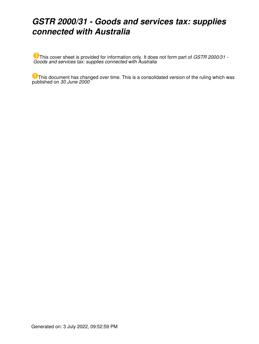### *GSTR 2000/31 - Goods and services tax: supplies connected with Australia*

This cover sheet is provided for information only. It does not form part of *GSTR 2000/31 - Goods and services tax: supplies connected with Australia*

This document has changed over time. This is a consolidated version of the ruling which was published on *30 June 2000*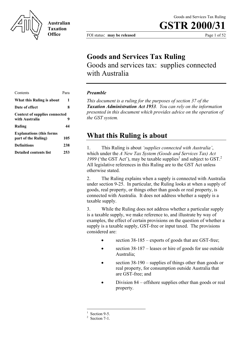

**Australian Taxation Office**

# **GSTR 2000/31**

FOI status: **may be released** Page 1 of 52

### **Goods and Services Tax Ruling**

Goods and services tax: supplies connected with Australia

| Contents                                               | Para |
|--------------------------------------------------------|------|
| What this Ruling is about                              | 1    |
| <b>Date of effect</b>                                  | 8    |
| <b>Context of supplies connected</b><br>with Australia | 9    |
| Ruling                                                 | 44   |
| <b>Explanations (this forms</b><br>part of the Ruling) | 105  |
| Definitions                                            | 238  |
| Detailed contents list                                 | 253  |

#### *Preamble*

*This document is a ruling for the purposes of section 37 of the Taxation Administration Act 1953. You can rely on the information presented in this document which provides advice on the operation of the GST system.*

### **What this Ruling is about**

1. This Ruling is about *'supplies connected with Australia'*, which under the *A New Tax System (Goods and Services Tax) Act*  $1999$  ('the GST Act'), may be taxable supplies<sup>1</sup> and subject to GST.<sup>2</sup> All legislative references in this Ruling are to the GST Act unless otherwise stated.

2. The Ruling explains when a supply is connected with Australia under section 9-25. In particular, the Ruling looks at when a supply of goods, real property, or things other than goods or real property, is connected with Australia. It does not address whether a supply is a taxable supply.

3. While the Ruling does not address whether a particular supply is a taxable supply, we make reference to, and illustrate by way of examples, the effect of certain provisions on the question of whether a supply is a taxable supply, GST-free or input taxed. The provisions considered are:

- section  $38-185$  exports of goods that are GST-free;
- section 38-187 leases or hire of goods for use outside Australia;
- section 38-190 supplies of things other than goods or real property, for consumption outside Australia that are GST-free; and
- Division 84 offshore supplies other than goods or real property.

<sup>1</sup> Section 9-5.

 $2$  Section 7-1.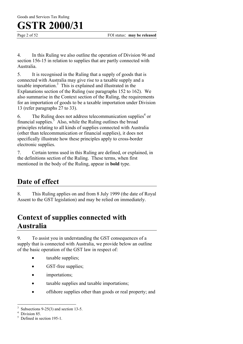Page 2 of 52 FOI status: **may be released** 

4. In this Ruling we also outline the operation of Division 96 and section 156-15 in relation to supplies that are partly connected with Australia.

5. It is recognised in the Ruling that a supply of goods that is connected with Australia may give rise to a taxable supply and a taxable importation. $3$  This is explained and illustrated in the Explanations section of the Ruling (see paragraphs 152 to 162). We also summarise in the Context section of the Ruling, the requirements for an importation of goods to be a taxable importation under Division 13 (refer paragraphs 27 to 33).

6. The Ruling does not address telecommunication supplies<sup>4</sup> or financial supplies. $\overline{5}$  Also, while the Ruling outlines the broad principles relating to all kinds of supplies connected with Australia (other than telecommunication or financial supplies), it does not specifically illustrate how these principles apply to cross-border electronic supplies.

7. Certain terms used in this Ruling are defined, or explained, in the definitions section of the Ruling. These terms, when first mentioned in the body of the Ruling, appear in **bold** type.

### **Date of effect**

8. This Ruling applies on and from 8 July 1999 (the date of Royal Assent to the GST legislation) and may be relied on immediately.

### **Context of supplies connected with Australia**

9. To assist you in understanding the GST consequences of a supply that is connected with Australia, we provide below an outline of the basic operation of the GST law in respect of:

- taxable supplies:
- GST-free supplies;
- importations;
- taxable supplies and taxable importations;
- offshore supplies other than goods or real property; and

 $\overline{a}$ 3 Subsections 9-25(3) and section 13-5.

<sup>4</sup> Division 85.

<sup>5</sup> Defined in section 195-1.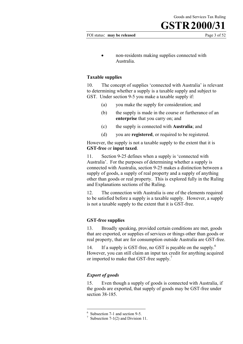FOI status: **may be released** Page 3 of 52

• non-residents making supplies connected with Australia.

#### **Taxable supplies**

10. The concept of supplies 'connected with Australia' is relevant to determining whether a supply is a taxable supply and subject to GST. Under section 9-5 you make a taxable supply if:

- (a) you make the supply for consideration; and
- (b) the supply is made in the course or furtherance of an **enterprise** that you carry on; and
- (c) the supply is connected with **Australia**; and
- (d) you are **registered**, or required to be registered.

However, the supply is not a taxable supply to the extent that it is **GST-free** or **input taxed**.

11. Section 9-25 defines when a supply is 'connected with Australia'. For the purposes of determining whether a supply is connected with Australia, section 9-25 makes a distinction between a supply of goods, a supply of real property and a supply of anything other than goods or real property. This is explored fully in the Ruling and Explanations sections of the Ruling.

12. The connection with Australia is one of the elements required to be satisfied before a supply is a taxable supply. However, a supply is not a taxable supply to the extent that it is GST-free.

#### **GST-free supplies**

13. Broadly speaking, provided certain conditions are met, goods that are exported, or supplies of services or things other than goods or real property, that are for consumption outside Australia are GST-free.

14. If a supply is GST-free, no GST is payable on the supply.<sup>6</sup> However, you can still claim an input tax credit for anything acquired or imported to make that GST-free supply.<sup>7</sup>

#### *Export of goods*

 $\overline{a}$ 

15. Even though a supply of goods is connected with Australia, if the goods are exported, that supply of goods may be GST-free under section 38-185.

<sup>6</sup> Subsection 7-1 and section 9-5.

<sup>&</sup>lt;sup>7</sup> Subsection 7-1(2) and Division 11.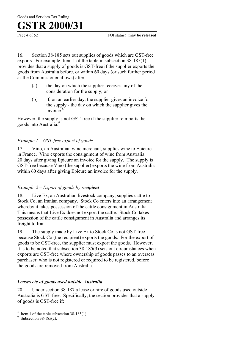Page 4 of 52 FOI status: **may be released** 

16. Section 38-185 sets out supplies of goods which are GST-free exports. For example, Item 1 of the table in subsection 38-185(1) provides that a supply of goods is GST-free if the supplier exports the goods from Australia before, or within 60 days (or such further period as the Commissioner allows) after:

- (a) the day on which the supplier receives any of the consideration for the supply; or
- (b) if, on an earlier day, the supplier gives an invoice for the supply - the day on which the supplier gives the invoice<sup>8</sup>

However, the supply is not GST-free if the supplier reimports the goods into Australia.<sup>9</sup>

#### *Example 1 – GST-free export of goods*

17. Vino, an Australian wine merchant, supplies wine to Epicure in France. Vino exports the consignment of wine from Australia 20 days after giving Epicure an invoice for the supply. The supply is GST-free because Vino (the supplier) exports the wine from Australia within 60 days after giving Epicure an invoice for the supply.

#### *Example 2 – Export of goods by recipient*

18. Live Ex, an Australian livestock company, supplies cattle to Stock Co, an Iranian company. Stock Co enters into an arrangement whereby it takes possession of the cattle consignment in Australia. This means that Live Ex does not export the cattle. Stock Co takes possession of the cattle consignment in Australia and arranges its freight to Iran.

19. The supply made by Live Ex to Stock Co is not GST-free because Stock Co (the recipient) exports the goods. For the export of goods to be GST-free, the supplier must export the goods. However, it is to be noted that subsection 38-185(3) sets out circumstances when exports are GST-free where ownership of goods passes to an overseas purchaser, who is not registered or required to be registered, before the goods are removed from Australia.

#### *Leases etc of goods used outside Australia*

20. Under section 38-187 a lease or hire of goods used outside Australia is GST-free. Specifically, the section provides that a supply of goods is GST-free if:

<sup>&</sup>lt;sup>8</sup> Item 1 of the table subsection 38-185(1).

<sup>&</sup>lt;sup>9</sup> Subsection 38-185(2).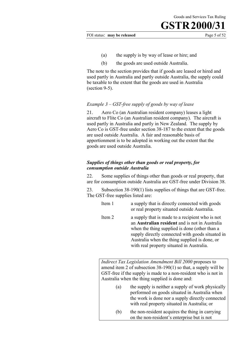FOI status: **may be released** Page 5 of 52

- (a) the supply is by way of lease or hire; and
- (b) the goods are used outside Australia.

The note to the section provides that if goods are leased or hired and used partly in Australia and partly outside Australia, the supply could be taxable to the extent that the goods are used in Australia (section 9-5).

#### *Example 3* – *GST-free supply of goods by way of lease*

21. Aero Co (an Australian resident company) leases a light aircraft to Flite Co (an Australian resident company). The aircraft is used partly in Australia and partly in New Zealand. The supply by Aero Co is GST-free under section 38-187 to the extent that the goods are used outside Australia. A fair and reasonable basis of apportionment is to be adopted in working out the extent that the goods are used outside Australia.

#### *Supplies of things other than goods or real property, for consumption outside Australia*

22. Some supplies of things other than goods or real property, that are for consumption outside Australia are GST-free under Division 38.

23. Subsection 38-190(1) lists supplies of things that are GST-free. The GST-free supplies listed are:

- Item 1 a supply that is directly connected with goods or real property situated outside Australia.
- Item 2 a supply that is made to a recipient who is not an **Australian resident** and is not in Australia when the thing supplied is done (other than a supply directly connected with goods situated in Australia when the thing supplied is done, or with real property situated in Australia.

*Indirect Tax Legislation Amendment Bill 2000* proposes to amend item 2 of subsection 38-190(1) so that, a supply will be GST-free if the supply is made to a non-resident who is not in Australia when the thing supplied is done and:

- (a) the supply is neither a supply of work physically performed on goods situated in Australia when the work is done nor a supply directly connected with real property situated in Australia; or
- (b) the non-resident acquires the thing in carrying on the non-resident's enterprise but is not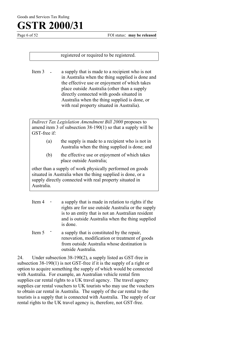Page 6 of 52 FOI status: **may be released** 

registered or required to be registered.

Item 3 - a supply that is made to a recipient who is not in Australia when the thing supplied is done and the effective use or enjoyment of which takes place outside Australia (other than a supply directly connected with goods situated in Australia when the thing supplied is done, or with real property situated in Australia). -

*Indirect Tax Legislation Amendment Bill 2000* proposes to amend item 3 of subsection 38-190(1) so that a supply will be GST-free if:

- (a) the supply is made to a recipient who is not in Australia when the thing supplied is done; and
- (b) the effective use or enjoyment of which takes place outside Australia;

other than a supply of work physically performed on goods situated in Australia when the thing supplied is done, or a supply directly connected with real property situated in Australia.

- Item 4 a supply that is made in relation to rights if the rights are for use outside Australia or the supply is to an entity that is not an Australian resident and is outside Australia when the thing supplied is done. -
- Item 5 a supply that is constituted by the repair, renovation, modification or treatment of goods from outside Australia whose destination is outside Australia. -

24. Under subsection 38-190(2), a supply listed as GST-free in subsection 38-190(1) is not GST-free if it is the supply of a right or option to acquire something the supply of which would be connected with Australia. For example, an Australian vehicle rental firm supplies car rental rights to a UK travel agency. The travel agency supplies car rental vouchers to UK tourists who may use the vouchers to obtain car rental in Australia. The supply of the car rental to the tourists is a supply that is connected with Australia. The supply of car rental rights to the UK travel agency is, therefore, not GST-free.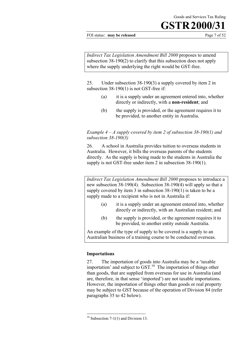FOI status: **may be released** Page 7 of 52

*Indirect Tax Legislation Amendment Bill 2000* proposes to amend subsection 38-190(2) to clarify that this subsection does not apply where the supply underlying the right would be GST-free.

25. Under subsection 38-190(3) a supply covered by item 2 in subsection 38-190(1) is not GST-free if:

- (a) it is a supply under an agreement entered into, whether directly or indirectly, with a **non-resident**; and
- (b) the supply is provided, or the agreement requires it to be provided, to another entity in Australia.

#### *Example 4 – A supply covered by item 2 of subsection 38-190(1) and subsection 38-190(3)*

26. A school in Australia provides tuition to overseas students in Australia. However, it bills the overseas parents of the students directly. As the supply is being made to the students in Australia the supply is not GST-free under item 2 in subsection 38-190(1).

*Indirect Tax Legislation Amendment Bill 2000* proposes to introduce a new subsection 38-190(4). Subsection 38-190(4) will apply so that a supply covered by item 3 in subsection 38-190(1) is taken to be a supply made to a recipient who is not in Australia if:

- (a) it is a supply under an agreement entered into, whether directly or indirectly, with an Australian resident; and
- (b) the supply is provided, or the agreement requires it to be provided, to another entity outside Australia.

An example of the type of supply to be covered is a supply to an Australian business of a training course to be conducted overseas.

#### **Importations**

 $\overline{a}$ 

27. The importation of goods into Australia may be a 'taxable importation' and subject to  $\overline{GST}$ <sup>10</sup>. The importation of things other than goods, that are supplied from overseas for use in Australia (and are, therefore, in that sense 'imported') are not taxable importations. However, the importation of things other than goods or real property may be subject to GST because of the operation of Division 84 (refer paragraphs 35 to 42 below).

<sup>&</sup>lt;sup>10</sup> Subsection 7-1(1) and Division 13.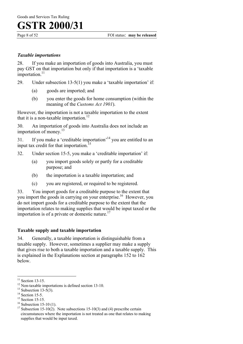#### *Taxable importations*

28. If you make an importation of goods into Australia, you must pay GST on that importation but only if that importation is a 'taxable importation. $11$ 

29. Under subsection 13-5(1) you make a 'taxable importation' if:

- (a) goods are imported; and
- (b) you enter the goods for home consumption (within the meaning of the *Customs Act 1901*).

However, the importation is not a taxable importation to the extent that it is a non-taxable importation.<sup>12</sup>

30. An importation of goods into Australia does not include an importation of money.<sup>13</sup>

31. If you make a 'creditable importation'14 you are entitled to an input tax credit for that importation.<sup>15</sup>

- 32. Under section 15-5, you make a 'creditable importation' if:
	- (a) you import goods solely or partly for a creditable purpose; and
	- (b) the importation is a taxable importation; and
	- (c) you are registered, or required to be registered.

33. You import goods for a creditable purpose to the extent that you import the goods in carrying on your enterprise.<sup>16</sup> However, you do not import goods for a creditable purpose to the extent that the importation relates to making supplies that would be input taxed or the importation is of a private or domestic nature.<sup>17</sup>

#### **Taxable supply and taxable importation**

34. Generally, a taxable importation is distinguishable from a taxable supply. However, sometimes a supplier may make a supply that gives rise to both a taxable importation and a taxable supply. This is explained in the Explanations section at paragraphs 152 to 162 below.

 $\overline{a}$ 

 $16$  Subsection 15-10 (1).

 $11$  Section 13-15.

<sup>&</sup>lt;sup>12</sup> Non-taxable importations is defined section 13-10.

<sup>&</sup>lt;sup>13</sup> Subsection 13-5(3).

 $14$  Section 15-5.

<sup>&</sup>lt;sup>15</sup> Section 15-15.

<sup>&</sup>lt;sup>17</sup> Subsection 15-10(2). Note subsections 15-10(3) and (4) prescribe certain circumstances where the importation is not treated as one that relates to making supplies that would be input taxed.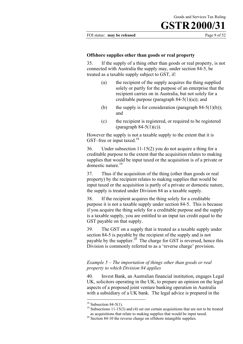#### FOI status: **may be released** Page 9 of 52

#### **Offshore supplies other than goods or real property**

35. If the supply of a thing other than goods or real property, is not connected with Australia the supply may, under section 84-5, be treated as a taxable supply subject to GST, if:

- (a) the recipient of the supply acquires the thing supplied solely or partly for the purpose of an enterprise that the recipient carries on in Australia, but not solely for a creditable purpose (paragraph  $84-5(1)(a)$ ); and
- (b) the supply is for consideration (paragraph  $84-5(1)(b)$ ); and
- (c) the recipient is registered, or required to be registered (paragraph  $84-5(1)(c)$ ).

However the supply is not a taxable supply to the extent that it is GST–free or input taxed.<sup>18</sup>

36. Under subsection 11-15(2) you do not acquire a thing for a creditable purpose to the extent that the acquisition relates to making supplies that would be input taxed or the acquisition is of a private or domestic nature.<sup>19</sup>

37. Thus if the acquisition of the thing (other than goods or real property) by the recipient relates to making supplies that would be input taxed or the acquisition is partly of a private or domestic nature, the supply is treated under Division 84 as a taxable supply.

38. If the recipient acquires the thing solely for a creditable purpose it is not a taxable supply under section 84-5. This is because if you acquire the thing solely for a creditable purpose and the supply is a taxable supply, you are entitled to an input tax credit equal to the GST payable on that supply.

39. The GST on a supply that is treated as a taxable supply under section 84-5 is payable by the recipient of the supply and is not payable by the supplier.<sup>20</sup> The charge for GST is reversed, hence this Division is commonly referred to as a 'reverse charge' provision.

#### *Example 5 – The importation of things other than goods or real property to which Division 84 applies*

40. Invest Bank, an Australian financial institution, engages Legal UK, solicitors operating in the UK, to prepare an opinion on the legal aspects of a proposed joint venture banking operation in Australia with a subsidiary of a UK bank. The legal advice is prepared in the

 $18$  Subsection 84-5(1).

<sup>&</sup>lt;sup>19</sup> Subsections 11-15(3) and (4) set out certain acquisitions that are not to be treated as acquisitions that relate to making supplies that would be input taxed.

as acquisitions that relate to making  $\frac{1}{2}$  supplies. Section 84-10 the reverse charge on offshore intangible supplies.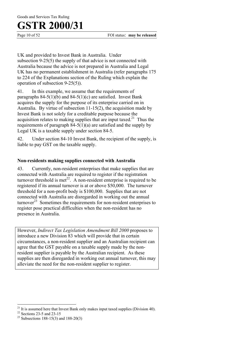Goods and Services Tax Ruling

### **GSTR 2000/31**

Page 10 of 52 FOI status: **may be released** 

UK and provided to Invest Bank in Australia. Under subsection 9-25(5) the supply of that advice is not connected with Australia because the advice is not prepared in Australia and Legal UK has no permanent establishment in Australia (refer paragraphs 175 to 224 of the Explanations section of the Ruling which explain the operation of subsection 9-25(5)).

41. In this example, we assume that the requirements of paragraphs  $84-5(1)(b)$  and  $84-5(1)(c)$  are satisfied. Invest Bank acquires the supply for the purpose of its enterprise carried on in Australia. By virtue of subsection 11-15(2), the acquisition made by Invest Bank is not solely for a creditable purpose because the acquisition relates to making supplies that are input taxed.<sup>21</sup> Thus the requirements of paragraph  $84-5(1)(a)$  are satisfied and the supply by Legal UK is a taxable supply under section 84-5.

42. Under section 84-10 Invest Bank, the recipient of the supply, is liable to pay GST on the taxable supply.

#### **Non-residents making supplies connected with Australia**

43. Currently, non-resident enterprises that make supplies that are connected with Australia are required to register if the registration turnover threshold is met<sup>22</sup>. A non-resident enterprise is required to be registered if its annual turnover is at or above \$50,000. The turnover threshold for a non-profit body is \$100,000. Supplies that are not connected with Australia are disregarded in working out the annual turnover<sup>23</sup> Sometimes the requirements for non-resident enterprises to register pose practical difficulties when the non-resident has no presence in Australia.

However, *Indirect Tax Legislation Amendment Bill 2000* proposes to introduce a new Division 83 which will provide that in certain circumstances, a non-resident supplier and an Australian recipient can agree that the GST payable on a taxable supply made by the nonresident supplier is payable by the Australian recipient. As these supplies are then disregarded in working out annual turnover, this may alleviate the need for the non-resident supplier to register.

 $\overline{a}$  $21$  It is assumed here that Invest Bank only makes input taxed supplies (Division 40).

 $22$  Sections 23-5 and 23-15

<sup>&</sup>lt;sup>23</sup> Subsections 188-15(3) and 188-20(3)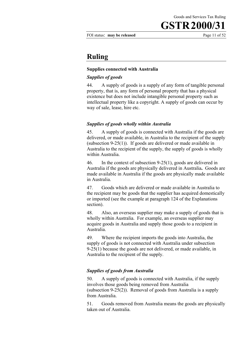FOI status: **may be released** Page 11 of 52

### **Ruling**

#### **Supplies connected with Australia**

#### *Supplies of goods*

44. A supply of goods is a supply of any form of tangible personal property, that is, any form of personal property that has a physical existence but does not include intangible personal property such as intellectual property like a copyright. A supply of goods can occur by way of sale, lease, hire etc.

#### *Supplies of goods wholly within Australia*

45. A supply of goods is connected with Australia if the goods are delivered, or made available, in Australia to the recipient of the supply (subsection 9-25(1)). If goods are delivered or made available in Australia to the recipient of the supply, the supply of goods is wholly within Australia.

46. In the context of subsection 9-25(1), goods are delivered in Australia if the goods are physically delivered in Australia**.** Goods are made available in Australia if the goods are physically made available in Australia.

47. Goods which are delivered or made available in Australia to the recipient may be goods that the supplier has acquired domestically or imported (see the example at paragraph 124 of the Explanations section).

48. Also, an overseas supplier may make a supply of goods that is wholly within Australia. For example, an overseas supplier may acquire goods in Australia and supply those goods to a recipient in Australia.

49. Where the recipient imports the goods into Australia, the supply of goods is not connected with Australia under subsection 9-25(1) because the goods are not delivered, or made available, in Australia to the recipient of the supply.

#### *Supplies of goods from Australia*

50. A supply of goods is connected with Australia, if the supply involves those goods being removed from Australia (subsection 9-25(2)). Removal of goods from Australia is a supply from Australia.

51. Goods removed from Australia means the goods are physically taken out of Australia.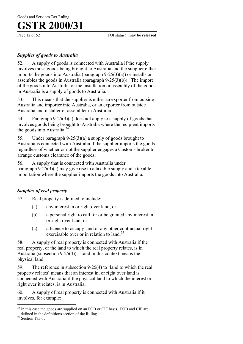Page 12 of 52 FOI status: **may be released** 

#### *Supplies of goods to Australia*

52. A supply of goods is connected with Australia if the supply involves those goods being brought to Australia and the supplier either imports the goods into Australia (paragraph 9-25(3)(a)) or installs or assembles the goods in Australia (paragraph 9-25(3)(b)). The import of the goods into Australia or the installation or assembly of the goods in Australia is a supply of goods to Australia.

53. This means that the supplier is either an exporter from outside Australia and importer into Australia, or an exporter from outside Australia and installer or assembler in Australia.

54. Paragraph 9-25(3)(a) does not apply to a supply of goods that involves goods being brought to Australia where the recipient imports the goods into Australia. $^{24}$ 

55. Under paragraph 9-25(3)(a) a supply of goods brought to Australia is connected with Australia if the supplier imports the goods regardless of whether or not the supplier engages a Customs broker to arrange customs clearance of the goods.

56. A supply that is connected with Australia under paragraph 9-25(3)(a) may give rise to a taxable supply and a taxable importation where the supplier imports the goods into Australia.

#### *Supplies of real property*

57. Real property is defined to include:

- (a) any interest in or right over land; or
- (b) a personal right to call for or be granted any interest in or right over land; or
- (c) a licence to occupy land or any other contractual right exercisable over or in relation to land.<sup>25</sup>

58. A supply of real property is connected with Australia if the real property, or the land to which the real property relates, is in Australia (subsection 9-25(4)). Land in this context means the physical land.

59. The reference in subsection 9-25(4) to 'land to which the real property relates' means that an interest in, or right over land is connected with Australia if the physical land to which the interest or right over it relates, is in Australia.

60. A supply of real property is connected with Australia if it involves, for example:

 $\overline{a}$  $2<sup>24</sup>$  In this case the goods are supplied on an FOB or CIF basis. FOB and CIF are defined in the definitions section of the Ruling.<br><sup>25</sup> Section 195-1.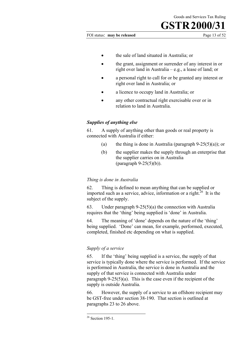FOI status: **may be released** Page 13 of 52

- the sale of land situated in Australia; or
- the grant, assignment or surrender of any interest in or right over land in Australia – e.g., a lease of land; or
- a personal right to call for or be granted any interest or right over land in Australia; or
- a licence to occupy land in Australia; or
- any other contractual right exercisable over or in relation to land in Australia.

#### *Supplies of anything else*

61. A supply of anything other than goods or real property is connected with Australia if either:

- (a) the thing is done in Australia (paragraph  $9-25(5)(a)$ ); or
- (b) the supplier makes the supply through an enterprise that the supplier carries on in Australia (paragraph 9-25(5)(b)).

#### *Thing is done in Australia*

62. Thing is defined to mean anything that can be supplied or imported such as a service, advice, information or a right.<sup>26</sup> It is the subject of the supply.

63. Under paragraph 9-25(5)(a) the connection with Australia requires that the 'thing' being supplied is 'done' in Australia.

64. The meaning of 'done' depends on the nature of the 'thing' being supplied. 'Done' can mean, for example, performed, executed, completed, finished etc depending on what is supplied.

#### *Supply of a service*

65. If the 'thing' being supplied is a service, the supply of that service is typically done where the service is performed. If the service is performed in Australia, the service is done in Australia and the supply of that service is connected with Australia under paragraph  $9-25(5)(a)$ . This is the case even if the recipient of the supply is outside Australia.

66. However, the supply of a service to an offshore recipient may be GST-free under section 38-190. That section is outlined at paragraphs 23 to 26 above.

<sup>&</sup>lt;sup>26</sup> Section 195-1.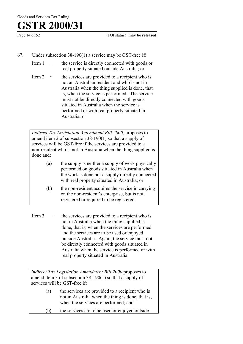- 67. Under subsection 38-190(1) a service may be GST-free if:
	- Item 1 the service is directly connected with goods or real property situated outside Australia; or -
	- Item  $2 \cdot$  the services are provided to a recipient who is not an Australian resident and who is not in Australia when the thing supplied is done, that is, when the service is performed. The service must not be directly connected with goods situated in Australia when the service is performed or with real property situated in Australia; or -

*Indirect Tax Legislation Amendment Bill 2000*, proposes to amend item 2 of subsection 38-190(1) so that a supply of services will be GST-free if the services are provided to a non-resident who is not in Australia when the thing supplied is done and:

- (a) the supply is neither a supply of work physically performed on goods situated in Australia when the work is done nor a supply directly connected with real property situated in Australia; or
- (b) the non-resident acquires the service in carrying on the non-resident's enterprise, but is not registered or required to be registered.
- Item  $3 \t-$  the services are provided to a recipient who is not in Australia when the thing supplied is done, that is, when the services are performed and the services are to be used or enjoyed outside Australia. Again, the service must not be directly connected with goods situated in Australia when the service is performed or with real property situated in Australia. -

*Indirect Tax Legislation Amendment Bill 2000* proposes to amend item 3 of subsection 38-190(1) so that a supply of services will be GST-free if:

- (a) the services are provided to a recipient who is not in Australia when the thing is done, that is, when the services are performed; and
- (b) the services are to be used or enjoyed outside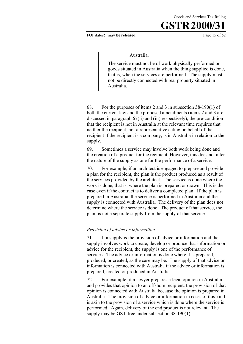FOI status: **may be released** Page 15 of 52

#### Australia.

The service must not be of work physically performed on goods situated in Australia when the thing supplied is done, that is, when the services are performed. The supply must not be directly connected with real property situated in Australia.

68. For the purposes of items 2 and 3 in subsection 38-190(1) of both the current law and the proposed amendments (items 2 and 3 are discussed in paragraph 67(ii) and (iii) respectively), the pre-condition that the recipient is not in Australia at the relevant time requires that neither the recipient, nor a representative acting on behalf of the recipient if the recipient is a company, is in Australia in relation to the supply.

69. Sometimes a service may involve both work being done and the creation of a product for the recipient However, this does not alter the nature of the supply as one for the performance of a service.

70. For example, if an architect is engaged to prepare and provide a plan for the recipient, the plan is the product produced as a result of the services provided by the architect. The service is done where the work is done, that is, where the plan is prepared or drawn. This is the case even if the contract is to deliver a completed plan. If the plan is prepared in Australia, the service is performed in Australia and the supply is connected with Australia. The delivery of the plan does not determine where the service is done. The product of that service, the plan, is not a separate supply from the supply of that service.

#### *Provision of advice or information*

71. If a supply is the provision of advice or information and the supply involves work to create, develop or produce that information or advice for the recipient, the supply is one of the performance of services. The advice or information is done where it is prepared, produced, or created, as the case may be. The supply of that advice or information is connected with Australia if the advice or information is prepared, created or produced in Australia.

72. For example, if a lawyer prepares a legal opinion in Australia and provides that opinion to an offshore recipient, the provision of that opinion is connected with Australia because the opinion is prepared in Australia. The provision of advice or information in cases of this kind is akin to the provision of a service which is done where the service is performed. Again, delivery of the end product is not relevant. The supply may be GST-free under subsection 38-190(1).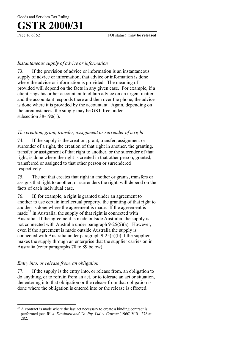#### *Instantaneous supply of advice or information*

73. If the provision of advice or information is an instantaneous supply of advice or information, that advice or information is done where the advice or information is provided. The meaning of provided will depend on the facts in any given case. For example, if a client rings his or her accountant to obtain advice on an urgent matter and the accountant responds there and then over the phone, the advice is done where it is provided by the accountant. Again, depending on the circumstances, the supply may be GST-free under subsection 38-190(1).

#### *The creation, grant, transfer, assignment or surrender of a right*

74. If the supply is the creation, grant, transfer, assignment or surrender of a right, the creation of that right in another, the granting, transfer or assignment of that right to another, or the surrender of that right, is done where the right is created in that other person, granted, transferred or assigned to that other person or surrendered respectively.

75. The act that creates that right in another or grants, transfers or assigns that right to another, or surrenders the right, will depend on the facts of each individual case.

76. If, for example, a right is granted under an agreement to another to use certain intellectual property, the granting of that right to another is done where the agreement is made. If the agreement is made $^{27}$  in Australia, the supply of that right is connected with Australia. If the agreement is made outside Australia, the supply is not connected with Australia under paragraph 9-25(5)(a). However, even if the agreement is made outside Australia the supply is connected with Australia under paragraph 9-25(5)(b) if the supplier makes the supply through an enterprise that the supplier carries on in Australia (refer paragraphs 78 to 89 below).

#### *Entry into, or release from, an obligation*

77. If the supply is the entry into, or release from, an obligation to do anything, or to refrain from an act, or to tolerate an act or situation, the entering into that obligation or the release from that obligation is done where the obligation is entered into or the release is effected.

 $\overline{a}$  $27$  A contract is made where the last act necessary to create a binding contract is performed (see *W. A. Dewhurst and Co. Pty. Ltd. v. Cawrse* [1960] V.R. 278 at 282.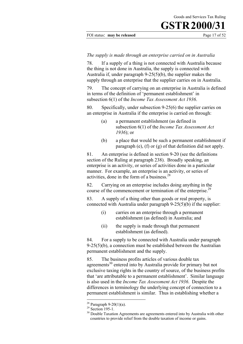#### FOI status: **may be released** Page 17 of 52

#### *The supply is made through an enterprise carried on in Australia*

78. If a supply of a thing is not connected with Australia because the thing is not done in Australia, the supply is connected with Australia if, under paragraph 9-25(5)(b), the supplier makes the supply through an enterprise that the supplier carries on in Australia.

79. The concept of carrying on an enterprise in Australia is defined in terms of the definition of 'permanent establishment' in subsection 6(1) of the *Income Tax Assessment Act 1936*.

80. Specifically, under subsection 9-25(6) the supplier carries on an enterprise in Australia if the enterprise is carried on through:

- (a) a permanent establishment (as defined in subsection 6(1) of the *Income Tax Assessment Act 1936*); or
- (b) a place that would be such a permanent establishment if paragraph (e), (f) or (g) of that definition did not apply.

81. An enterprise is defined in section 9-20 (see the definitions section of the Ruling at paragraph 238). Broadly speaking, an enterprise is an activity, or series of activities done in a particular manner. For example, an enterprise is an activity, or series of activities, done in the form of a business.28

82. Carrying on an enterprise includes doing anything in the course of the commencement or termination of the enterprise.<sup>29</sup>

83. A supply of a thing other than goods or real property, is connected with Australia under paragraph 9-25(5)(b) if the supplier:

- (i) carries on an enterprise through a permanent establishment (as defined) in Australia; and
- (ii) the supply is made through that permanent establishment (as defined).

84. For a supply to be connected with Australia under paragraph  $9-25(5)(b)$ , a connection must be established between the Australian permanent establishment and the supply.

85. The business profits articles of various double tax agreements<sup>30</sup> entered into by Australia provide for primary but not exclusive taxing rights in the country of source, of the business profits that 'are attributable to a permanent establishment'. Similar language is also used in the *Income Tax Assessment Act 1936*. Despite the differences in terminology the underlying concept of connection to a permanent establishment is similar. Thus in establishing whether a

<sup>&</sup>lt;sup>28</sup> Paragraph 9-20(1)(a).

 $29$  Section 195-1.

<sup>&</sup>lt;sup>30</sup> Double Taxation Agreements are agreements entered into by Australia with other countries to provide relief from the double taxation of income or gains.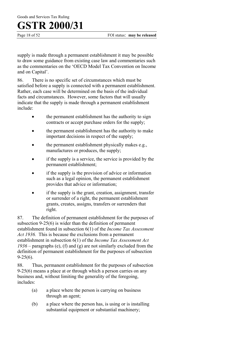Page 18 of 52 FOI status: **may be released** 

supply is made through a permanent establishment it may be possible to draw some guidance from existing case law and commentaries such as the commentaries on the 'OECD Model Tax Convention on Income and on Capital'.

86. There is no specific set of circumstances which must be satisfied before a supply is connected with a permanent establishment. Rather, each case will be determined on the basis of the individual facts and circumstances. However, some factors that will usually indicate that the supply is made through a permanent establishment include:

- the permanent establishment has the authority to sign contracts or accept purchase orders for the supply;
- the permanent establishment has the authority to make important decisions in respect of the supply;
- the permanent establishment physically makes e.g., manufactures or produces, the supply;
- if the supply is a service, the service is provided by the permanent establishment;
- if the supply is the provision of advice or information such as a legal opinion, the permanent establishment provides that advice or information;
- if the supply is the grant, creation, assignment, transfer or surrender of a right, the permanent establishment grants, creates, assigns, transfers or surrenders that right.

87. The definition of permanent establishment for the purposes of subsection 9-25(6) is wider than the definition of permanent establishment found in subsection 6(1) of the *Income Tax Assessment Act 1936.* This is because the exclusions from a permanent establishment in subsection 6(1) of the *Income Tax Assessment Act 1936* – paragraphs (e), (f) and (g) are not similarly excluded from the definition of permanent establishment for the purposes of subsection  $9-25(6)$ .

88. Thus, permanent establishment for the purposes of subsection 9-25(6) means a place at or through which a person carries on any business and, without limiting the generality of the foregoing, includes:

- (a) a place where the person is carrying on business through an agent;
- (b) a place where the person has, is using or is installing substantial equipment or substantial machinery;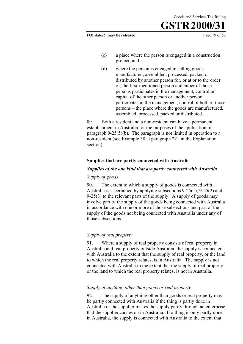FOI status: **may be released** Page 19 of 52

- (c) a place where the person is engaged in a construction project; and
- (d) where the person is engaged in selling goods manufactured, assembled, processed, packed or distributed by another person for, or at or to the order of, the first-mentioned person and either of those persons participates in the management, control or capital of the other person or another person participates in the management, control of both of those persons – the place where the goods are manufactured, assembled, processed, packed or distributed.

89. Both a resident and a non-resident can have a permanent establishment in Australia for the purposes of the application of paragraph 9-25(5)(b). The paragraph is not limited in operation to a non-resident (see Example 38 at paragraph 221 in the Explanation section).

#### **Supplies that are partly connected with Australia**

#### *Supplies of the one kind that are partly connected with Australia*

#### *Supply of goods*

90. The extent to which a supply of goods is connected with Australia is ascertained by applying subsections 9-25(1), 9-25(2) and 9-25(3) to the relevant parts of the supply. A supply of goods may involve part of the supply of the goods being connected with Australia in accordance with one or more of those subsections and part of the supply of the goods not being connected with Australia under any of those subsections.

#### *Supply of real property*

91. Where a supply of real property consists of real property in Australia and real property outside Australia, the supply is connected with Australia to the extent that the supply of real property, or the land to which the real property relates, is in Australia. The supply is not connected with Australia to the extent that the supply of real property, or the land to which the real property relates, is not in Australia.

#### *Supply of anything other than goods or real property*

92. The supply of anything other than goods or real property may be partly connected with Australia if the thing is partly done in Australia or the supplier makes the supply partly through an enterprise that the supplier carries on in Australia. If a thing is only partly done in Australia, the supply is connected with Australia to the extent that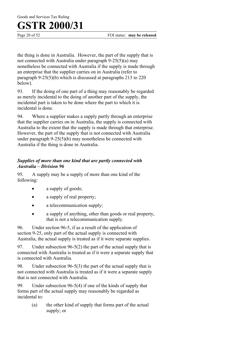Page 20 of 52 FOI status: **may be released** 

the thing is done in Australia. However, the part of the supply that is not connected with Australia under paragraph 9-25(5)(a) may nonetheless be connected with Australia if the supply is made through an enterprise that the supplier carries on in Australia (refer to paragraph 9-25(5)(b) which is discussed at paragraphs 213 to 220 below).

93. If the doing of one part of a thing may reasonably be regarded as merely incidental to the doing of another part of the supply, the incidental part is taken to be done where the part to which it is incidental is done.

94. Where a supplier makes a supply partly through an enterprise that the supplier carries on in Australia, the supply is connected with Australia to the extent that the supply is made through that enterprise. However, the part of the supply that is not connected with Australia under paragraph 9-25(5)(b) may nonetheless be connected with Australia if the thing is done in Australia.

#### *Supplies of more than one kind that are partly connected with Australia – Division 96*

95. A supply may be a supply of more than one kind of the following:

- a supply of goods;
- a supply of real property;
- a telecommunication supply;
- a supply of anything, other than goods or real property, that is not a telecommunication supply.

96. Under section 96-5, if as a result of the application of section 9-25, only part of the actual supply is connected with Australia, the actual supply is treated as if it were separate supplies.

97. Under subsection 96-5(2) the part of the actual supply that is connected with Australia is treated as if it were a separate supply that is connected with Australia.

98. Under subsection 96-5(3) the part of the actual supply that is not connected with Australia is treated as if it were a separate supply that is not connected with Australia.

99. Under subsection 96-5(4) if one of the kinds of supply that forms part of the actual supply may reasonably be regarded as incidental to:

> (a) the other kind of supply that forms part of the actual supply; or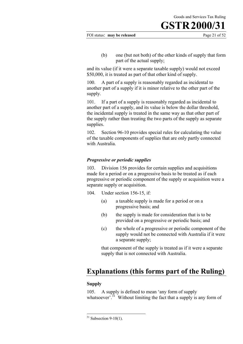FOI status: **may be released** Page 21 of 52

(b) one (but not both) of the other kinds of supply that form part of the actual supply;

and its value (if it were a separate taxable supply) would not exceed \$50,000, it is treated as part of that other kind of supply.

100. A part of a supply is reasonably regarded as incidental to another part of a supply if it is minor relative to the other part of the supply.

101. If a part of a supply is reasonably regarded as incidental to another part of a supply, and its value is below the dollar threshold, the incidental supply is treated in the same way as that other part of the supply rather than treating the two parts of the supply as separate supplies.

102. Section 96-10 provides special rules for calculating the value of the taxable components of supplies that are only partly connected with Australia.

#### *Progressive or periodic supplies*

103. Division 156 provides for certain supplies and acquisitions made for a period or on a progressive basis to be treated as if each progressive or periodic component of the supply or acquisition were a separate supply or acquisition.

- 104. Under section 156-15, if:
	- (a) a taxable supply is made for a period or on a progressive basis; and
	- (b) the supply is made for consideration that is to be provided on a progressive or periodic basis; and
	- (c) the whole of a progressive or periodic component of the supply would not be connected with Australia if it were a separate supply;

that component of the supply is treated as if it were a separate supply that is not connected with Australia.

### **Explanations (this forms part of the Ruling)**

#### **Supply**

 $\overline{a}$ 

105. A supply is defined to mean 'any form of supply whatsoever<sup> $31$ </sup> Without limiting the fact that a supply is any form of

 $31$  Subsection 9-10(1).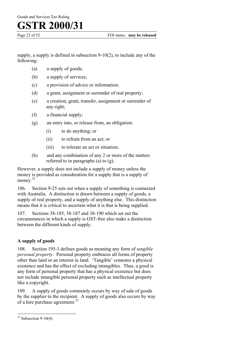Goods and Services Tax Ruling

### **GSTR 2000/31**

supply, a supply is defined in subsection 9-10(2), to include any of the following:

- (a) a supply of goods;
- (b) a supply of services;
- (c) a provision of advice or information;
- (d) a grant, assignment or surrender of real property;
- (e) a creation, grant, transfer, assignment or surrender of any right;
- (f) a financial supply;
- (g) an entry into, or release from, an obligation:
	- (i) to do anything; or
	- (ii) to refrain from an act; or
	- (iii) to tolerate an act or situation;
- (h) and any combination of any 2 or more of the matters referred to in paragraphs (a) to (g).

However, a supply does not include a supply of money unless the money is provided as consideration for a supply that is a supply of money.<sup>32</sup>

106. Section 9-25 sets out when a supply of something is connected with Australia. A distinction is drawn between a supply of goods, a supply of real property, and a supply of anything else. This distinction means that it is critical to ascertain what it is that is being supplied.

107. Sections 38-185, 38-187 and 38-190 which set out the circumstances in which a supply is GST-free also make a distinction between the different kinds of supply.

#### **A supply of goods**

108. Section 195-1 defines goods as meaning any form of *tangible personal property*. Personal property embraces all forms of property other than land or an interest in land. 'Tangible' connotes a physical existence and has the effect of excluding intangibles. Thus, a good is any form of personal property that has a physical existence but does not include intangible personal property such as intellectual property like a copyright.

109. A supply of goods commonly occurs by way of sale of goods by the supplier to the recipient. A supply of goods also occurs by way of a hire purchase agreement.<sup>33</sup>

 $32$  Subsection 9-10(4).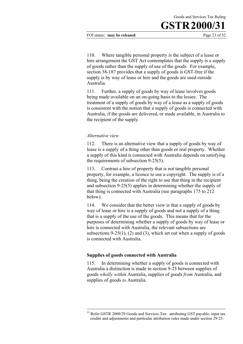FOI status: **may be released** Page 23 of 52

110. Where tangible personal property is the subject of a lease or hire arrangement the GST Act contemplates that the supply is a supply of goods rather than the supply of use of the goods. For example, section 38-187 provides that a supply of goods is GST-free if the supply is by way of lease or hire and the goods are used outside Australia.

111. Further, a supply of goods by way of lease involves goods being made available on an on-going basis to the lessee. The treatment of a supply of goods by way of a lease as a supply of goods is consistent with the notion that a supply of goods is connected with Australia, if the goods are delivered, or made available, in Australia to the recipient of the supply.

#### *Alternative view*

 $\overline{a}$ 

112. There is an alternative view that a supply of goods by way of lease is a supply of a thing other than goods or real property. Whether a supply of this kind is connected with Australia depends on satisfying the requirements of subsection 9-25(5).

113. Contrast a hire of property that is not tangible personal property, for example, a licence to use a copyright. The supply is of a thing, being the creation of the right to use that thing in the recipient and subsection 9-25(5) applies in determining whether the supply of that thing is connected with Australia (see paragraphs 175 to 212 below).

114. We consider that the better view is that a supply of goods by way of lease or hire is a supply of goods and not a supply of a thing that is a supply of the use of the goods. This means that for the purposes of determining whether a supply of goods by way of lease or hire is connected with Australia, the relevant subsections are subsections  $9-25(1)$ , (2) and (3), which set out when a supply of goods is connected with Australia.

#### **Supplies of goods connected with Australia**

115. In determining whether a supply of goods is connected with Australia a distinction is made in section 9-25 between supplies of goods *wholly within* Australia, supplies of goods *from* Australia, and supplies of goods *to* Australia.

<sup>&</sup>lt;sup>33</sup> Refer GSTR 2000/29 Goods and Services Tax: attributing GST payable, input tax credits and adjustments and particular attribution rules made under section 29-25.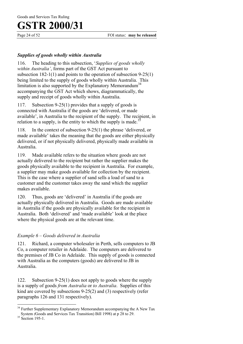Page 24 of 52 FOI status: **may be released** 

#### *Supplies of goods wholly within Australia*

116. The heading to this subsection, '*Supplies of goods wholly within Australia'*, forms part of the GST Act pursuant to subsection 182-1(1) and points to the operation of subsection 9-25(1) being limited to the supply of goods wholly within Australia. This limitation is also supported by the Explanatory Memorandum<sup>34</sup> accompanying the GST Act which shows, diagrammatically, the supply and receipt of goods wholly within Australia.

117. Subsection 9-25(1) provides that a supply of goods is connected with Australia if the goods are 'delivered, or made available', in Australia to the recipient of the supply. The recipient, in relation to a supply, is the entity to which the supply is made. $\frac{3}{5}$ 

118. In the context of subsection 9-25(1) the phrase 'delivered, or made available' takes the meaning that the goods are either physically delivered, or if not physically delivered, physically made available in Australia.

119. Made available refers to the situation where goods are not actually delivered to the recipient but rather the supplier makes the goods physically available to the recipient in Australia. For example, a supplier may make goods available for collection by the recipient. This is the case where a supplier of sand sells a load of sand to a customer and the customer takes away the sand which the supplier makes available.

120. Thus, goods are 'delivered' in Australia if the goods are actually physically delivered in Australia. Goods are made available in Australia if the goods are physically available for the recipient in Australia. Both 'delivered' and 'made available' look at the place where the physical goods are at the relevant time.

#### *Example 6 – Goods delivered in Australia*

121. Richard, a computer wholesaler in Perth, sells computers to JB Co, a computer retailer in Adelaide. The computers are delivered to the premises of JB Co in Adelaide. This supply of goods is connected with Australia as the computers (goods) are delivered to JB in Australia.

122. Subsection 9-25(1) does not apply to goods where the supply is a supply of goods *from Australia* or *to Australia*. Supplies of this kind are covered by subsections 9-25(2) and (3) respectively (refer paragraphs 126 and 131 respectively).

 $\overline{a}$ <sup>34</sup> Further Supplementary Explanatory Memorandum accompanying the A New Tax System (Goods and Services Tax Transition) Bill 1998) at p 28 to 29.<br><sup>35</sup> Section 195-1.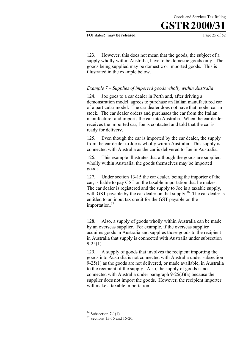Goods and Services Tax Ruling

123. However, this does not mean that the goods, the subject of a supply wholly within Australia, have to be domestic goods only. The goods being supplied may be domestic or imported goods. This is illustrated in the example below.

#### *Example 7 – Supplies of imported goods wholly within Australia*

124. Joe goes to a car dealer in Perth and, after driving a demonstration model, agrees to purchase an Italian manufactured car of a particular model. The car dealer does not have that model car in stock. The car dealer orders and purchases the car from the Italian manufacturer and imports the car into Australia. When the car dealer receives the imported car, Joe is contacted and told that the car is ready for delivery.

125. Even though the car is imported by the car dealer, the supply from the car dealer to Joe is wholly within Australia. This supply is connected with Australia as the car is delivered to Joe in Australia.

126. This example illustrates that although the goods are supplied wholly within Australia, the goods themselves may be imported goods.

127. Under section 13-15 the car dealer, being the importer of the car, is liable to pay GST on the taxable importation that he makes. The car dealer is registered and the supply to Joe is a taxable supply, with GST payable by the car dealer on that supply.<sup>36</sup> The car dealer is entitled to an input tax credit for the GST payable on the importation.<sup>37</sup>

128. Also, a supply of goods wholly within Australia can be made by an overseas supplier. For example, if the overseas supplier acquires goods in Australia and supplies those goods to the recipient in Australia that supply is connected with Australia under subsection  $9 - 25(1)$ .

129. A supply of goods that involves the recipient importing the goods into Australia is not connected with Australia under subsection 9-25(1) as the goods are not delivered, or made available, in Australia to the recipient of the supply. Also, the supply of goods is not connected with Australia under paragraph 9-25(3)(a) because the supplier does not import the goods. However, the recipient importer will make a taxable importation.

 $36$  Subsection 7-1(1).

 $37$  Sections 15-15 and 15-20.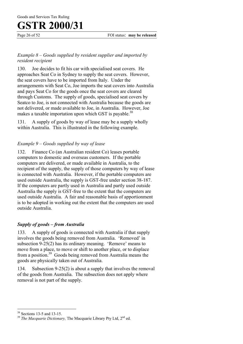Page 26 of 52 FOI status: **may be released** 

#### *Example 8 – Goods supplied by resident supplier and imported by resident recipient*

130. Joe decides to fit his car with specialised seat covers. He approaches Seat Co in Sydney to supply the seat covers. However, the seat covers have to be imported from Italy. Under the arrangements with Seat Co, Joe imports the seat covers into Australia and pays Seat Co for the goods once the seat covers are cleared through Customs. The supply of goods, specialised seat covers by Seatco to Joe, is not connected with Australia because the goods are not delivered, or made available to Joe, in Australia. However, Joe makes a taxable importation upon which GST is payable.<sup>38</sup>

131. A supply of goods by way of lease may be a supply wholly within Australia. This is illustrated in the following example.

#### *Example 9* – *Goods supplied by way of lease*

132. Finance Co (an Australian resident Co) leases portable computers to domestic and overseas customers. If the portable computers are delivered, or made available in Australia, to the recipient of the supply, the supply of those computers by way of lease is connected with Australia. However, if the portable computers are used outside Australia, the supply is GST-free under section 38-187. If the computers are partly used in Australia and partly used outside Australia the supply is GST-free to the extent that the computers are used outside Australia. A fair and reasonable basis of apportionment is to be adopted in working out the extent that the computers are used outside Australia.

#### *Supply of goods – from Australia*

133. A supply of goods is connected with Australia if that supply involves the goods being removed from Australia. 'Removed' in subsection 9-25(2) has its ordinary meaning. 'Remove' means to move from a place, to move or shift to another place, or to displace from a position.39 Goods being removed from Australia means the goods are physically taken out of Australia.

134. Subsection 9-25(2) is about a supply that involves the removal of the goods from Australia. The subsection does not apply where removal is not part of the supply.

<sup>38</sup> Sections 13-5 and 13-15.

<sup>&</sup>lt;sup>39</sup> *The Macquarie Dictionary*, The Macquarie Library Pty Ltd, 2<sup>nd</sup> ed.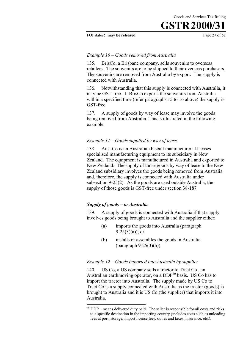#### FOI status: **may be released** Page 27 of 52

#### *Example 10 – Goods removed from Australia*

135. BrisCo, a Brisbane company, sells souvenirs to overseas retailers. The souvenirs are to be shipped to their overseas purchasers. The souvenirs are removed from Australia by export. The supply is connected with Australia.

136. Notwithstanding that this supply is connected with Australia, it may be GST-free. If BrisCo exports the souvenirs from Australia within a specified time (refer paragraphs 15 to 16 above) the supply is GST-free.

137. A supply of goods by way of lease may involve the goods being removed from Australia. This is illustrated in the following example.

#### *Example 11 – Goods supplied by way of lease*

138. Aust Co is an Australian biscuit manufacturer. It leases specialised manufacturing equipment to its subsidiary in New Zealand. The equipment is manufactured in Australia and exported to New Zealand. The supply of those goods by way of lease to the New Zealand subsidiary involves the goods being removed from Australia and, therefore, the supply is connected with Australia under subsection 9-25(2). As the goods are used outside Australia, the supply of those goods is GST-free under section 38-187.

#### *Supply of goods – to Australia*

 $\overline{a}$ 

139. A supply of goods is connected with Australia if that supply involves goods being brought to Australia and the supplier either:

- (a) imports the goods into Australia (paragraph  $9-25(3)(a)$ ; or
- (b) installs or assembles the goods in Australia (paragraph 9-25(3)(b)).

#### *Example 12 – Goods imported into Australia by supplier*

140. US Co, a US company sells a tractor to Tract Co , an Australian earthmoving operator, on a  $DDP<sup>40</sup>$  basis. US Co has to import the tractor into Australia. The supply made by US Co to Tract Co is a supply connected with Australia as the tractor (goods) is brought to Australia and it is US Co (the supplier) that imports it into Australia.

 $40$  DDP – means delivered duty paid. The seller is responsible for all costs and risks to a specific destination in the importing country (includes costs such as unloading fees at port, storage, import license fees, duties and taxes, insurance, etc.).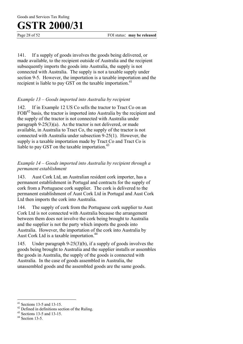Page 28 of 52 FOI status: **may be released** 

141. If a supply of goods involves the goods being delivered, or made available, to the recipient outside of Australia and the recipient subsequently imports the goods into Australia, the supply is not connected with Australia. The supply is not a taxable supply under section 9-5. However, the importation is a taxable importation and the recipient is liable to pay GST on the taxable importation.<sup>41</sup>

#### *Example 13 – Goods imported into Australia by recipient*

142. If in Example 12 US Co sells the tractor to Tract Co on an FOB<sup>42</sup> basis, the tractor is imported into Australia by the recipient and the supply of the tractor is not connected with Australia under paragraph 9-25(3)(a). As the tractor is not delivered, or made available, in Australia to Tract Co, the supply of the tractor is not connected with Australia under subsection 9-25(1). However, the supply is a taxable importation made by Tract Co and Tract Co is liable to pay GST on the taxable importation.<sup>43</sup>

#### *Example 14 – Goods imported into Australia by recipient through a permanent establishment*

143. Aust Cork Ltd, an Australian resident cork importer, has a permanent establishment in Portugal and contracts for the supply of cork from a Portuguese cork supplier. The cork is delivered to the permanent establishment of Aust Cork Ltd in Portugal and Aust Cork Ltd then imports the cork into Australia.

144. The supply of cork from the Portuguese cork supplier to Aust Cork Ltd is not connected with Australia because the arrangement between them does not involve the cork being brought to Australia and the supplier is not the party which imports the goods into Australia. However, the importation of the cork into Australia by Aust Cork Ltd is a taxable importation.<sup>44</sup>

145. Under paragraph 9-25(3)(b), if a supply of goods involves the goods being brought to Australia and the supplier installs or assembles the goods in Australia, the supply of the goods is connected with Australia. In the case of goods assembled in Australia, the unassembled goods and the assembled goods are the same goods.

 $41$  Sections 13-5 and 13-15.

 $42$  Defined in definitions section of the Ruling.

<sup>43</sup> Sections 13-5 and 13-15.

<sup>44</sup> Section 13-5.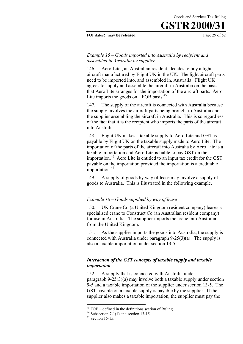FOI status: **may be released** Page 29 of 52

#### *Example 15* – *Goods imported into Australia by recipient and assembled in Australia by supplier*

146. Aero Lite , an Australian resident, decides to buy a light aircraft manufactured by Flight UK in the UK. The light aircraft parts need to be imported into, and assembled in, Australia. Flight UK agrees to supply and assemble the aircraft in Australia on the basis that Aero Lite arranges for the importation of the aircraft parts. Aero Lite imports the goods on a FOB basis.<sup>45</sup>

147. The supply of the aircraft is connected with Australia because the supply involves the aircraft parts being brought to Australia and the supplier assembling the aircraft in Australia. This is so regardless of the fact that it is the recipient who imports the parts of the aircraft into Australia.

148. Flight UK makes a taxable supply to Aero Lite and GST is payable by Flight UK on the taxable supply made to Aero Lite. The importation of the parts of the aircraft into Australia by Aero Lite is a taxable importation and Aero Lite is liable to pay GST on the importation.46 Aero Lite is entitled to an input tax credit for the GST payable on the importation provided the importation is a creditable importation.<sup>47</sup>

149. A supply of goods by way of lease may involve a supply of goods to Australia. This is illustrated in the following example.

#### *Example 16 – Goods supplied by way of lease*

150. UK Crane Co (a United Kingdom resident company) leases a specialised crane to Construct Co (an Australian resident company) for use in Australia. The supplier imports the crane into Australia from the United Kingdom.

151. As the supplier imports the goods into Australia, the supply is connected with Australia under paragraph 9-25(3)(a). The supply is also a taxable importation under section 13-5.

#### *Interaction of the GST concepts of taxable supply and taxable importation*

152. A supply that is connected with Australia under paragraph 9-25(3)(a) may involve both a taxable supply under section 9-5 and a taxable importation of the supplier under section 13-5. The GST payable on a taxable supply is payable by the supplier. If the supplier also makes a taxable importation, the supplier must pay the

 $45$  FOB – defined in the definitions section of Ruling.

 $46$  Subsection 7-1(1) and section 13-15.

 $47$  Section 15-15.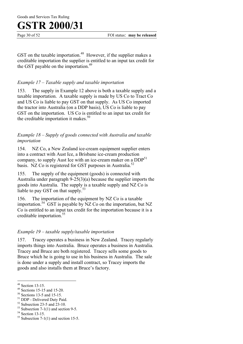Goods and Services Tax Ruling

### **GSTR 2000/31**

Page 30 of 52 FOI status: **may be released** 

GST on the taxable importation.<sup>48</sup> However, if the supplier makes a creditable importation the supplier is entitled to an input tax credit for the GST payable on the importation.<sup>49</sup>

#### *Example 17 – Taxable supply and taxable importation*

153. The supply in Example 12 above is both a taxable supply and a taxable importation. A taxable supply is made by US Co to Tract Co and US Co is liable to pay GST on that supply. As US Co imported the tractor into Australia (on a DDP basis), US Co is liable to pay GST on the importation. US Co is entitled to an input tax credit for the creditable importation it makes. $50$ 

#### *Example 18 – Supply of goods connected with Australia and taxable importation*

154. NZ Co, a New Zealand ice-cream equipment supplier enters into a contract with Aust Ice, a Brisbane ice-cream production company, to supply Aust Ice with an ice-cream maker on a  $DDP^{51}$ basis. NZ Co is registered for GST purposes in Australia.<sup>52</sup>

155. The supply of the equipment (goods) is connected with Australia under paragraph 9-25(3)(a) because the supplier imports the goods into Australia. The supply is a taxable supply and NZ Co is liable to pay GST on that supply.<sup>53</sup>

156. The importation of the equipment by NZ Co is a taxable importation.<sup>54</sup> GST is payable by NZ Co on the importation, but NZ Co is entitled to an input tax credit for the importation because it is a creditable importation.<sup>55</sup>

#### *Example 19 – taxable supply/taxable importation*

157. Tracey operates a business in New Zealand. Tracey regularly imports things into Australia. Bruce operates a business in Australia. Tracey and Bruce are both registered. Tracey sells some goods to Bruce which he is going to use in his business in Australia. The sale is done under a supply and install contract, so Tracey imports the goods and also installs them at Bruce's factory.

<sup>48</sup> Section 13-15.

<sup>49</sup> Sections 15-15 and 15-20.

<sup>&</sup>lt;sup>50</sup> Sections 13-5 and 15-15.

<sup>51</sup> DDP - Delivered Duty Paid.

 $52$  Subsection 23-5 and 23-10.

 $53$  Subsection 7-1(1) and section 9-5.

<sup>&</sup>lt;sup>54</sup> Section 13-15.

 $55$  Subsection 7-1(1) and section 15-5.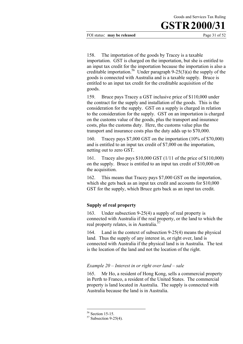FOI status: **may be released** Page 31 of 52

158. The importation of the goods by Tracey is a taxable importation. GST is charged on the importation, but she is entitled to an input tax credit for the importation because the importation is also a creditable importation.<sup>56</sup> Under paragraph  $9-25(3)(a)$  the supply of the goods is connected with Australia and is a taxable supply. Bruce is entitled to an input tax credit for the creditable acquisition of the goods.

159. Bruce pays Tracey a GST inclusive price of \$110,000 under the contract for the supply and installation of the goods. This is the consideration for the supply. GST on a supply is charged in relation to the consideration for the supply. GST on an importation is charged on the customs value of the goods, plus the transport and insurance costs, plus the customs duty. Here, the customs value plus the transport and insurance costs plus the duty adds up to \$70,000.

160. Tracey pays \$7,000 GST on the importation (10% of \$70,000) and is entitled to an input tax credit of \$7,000 on the importation, netting out to zero GST.

161. Tracey also pays \$10,000 GST (1/11 of the price of \$110,000) on the supply. Bruce is entitled to an input tax credit of \$10,000 on the acquisition.

162. This means that Tracey pays \$7,000 GST on the importation, which she gets back as an input tax credit and accounts for \$10,000 GST for the supply, which Bruce gets back as an input tax credit.

#### **Supply of real property**

163. Under subsection 9-25(4) a supply of real property is connected with Australia if the real property, or the land to which the real property relates, is in Australia.<sup>3</sup>

164. Land in the context of subsection 9-25(4) means the physical land. Thus the supply of any interest in, or right over, land is connected with Australia if the physical land is in Australia. The test is the location of the land and not the location of the right.

#### *Example 20 – Interest in or right over land – sale*

165. Mr Ho, a resident of Hong Kong, sells a commercial property in Perth to Franco, a resident of the United States. The commercial property is land located in Australia. The supply is connected with Australia because the land is in Australia.

<sup>56</sup> Section 15-15.

 $57$  Subsection 9-25(4).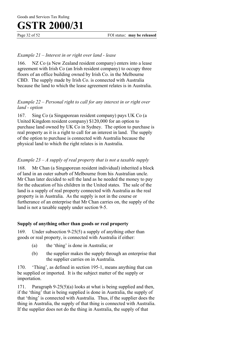Page 32 of 52 FOI status: **may be released** 

#### *Example 21 – Interest in or right over land - lease*

166. NZ Co (a New Zealand resident company) enters into a lease agreement with Irish Co (an Irish resident company) to occupy three floors of an office building owned by Irish Co. in the Melbourne CBD. The supply made by Irish Co. is connected with Australia because the land to which the lease agreement relates is in Australia.

#### *Example 22 – Personal right to call for any interest in or right over land - option*

167. Sing Co (a Singaporean resident company) pays UK Co (a United Kingdom resident company) \$120,000 for an option to purchase land owned by UK Co in Sydney. The option to purchase is real property as it is a right to call for an interest in land. The supply of the option to purchase is connected with Australia because the physical land to which the right relates is in Australia.

#### *Example 23 – A supply of real property that is not a taxable supply*

168. Mr Chan (a Singaporean resident individual) inherited a block of land in an outer suburb of Melbourne from his Australian uncle. Mr Chan later decided to sell the land as he needed the money to pay for the education of his children in the United states. The sale of the land is a supply of real property connected with Australia as the real property is in Australia. As the supply is not in the course or furtherance of an enterprise that Mr Chan carries on, the supply of the land is not a taxable supply under section 9-5.

#### **Supply of anything other than goods or real property**

169. Under subsection 9-25(5) a supply of anything other than goods or real property, is connected with Australia if either:

- (a) the 'thing' is done in Australia; or
- (b) the supplier makes the supply through an enterprise that the supplier carries on in Australia.

170. 'Thing', as defined in section 195-1, means anything that can be supplied or imported. It is the subject matter of the supply or importation.

171. Paragraph 9-25(5)(a) looks at what is being supplied and then, if the 'thing' that is being supplied is done in Australia, the supply of that 'thing' is connected with Australia. Thus, if the supplier does the thing in Australia, the supply of that thing is connected with Australia. If the supplier does not do the thing in Australia, the supply of that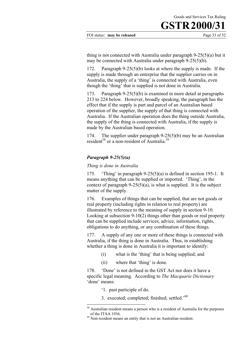FOI status: **may be released** Page 33 of 52

thing is not connected with Australia under paragraph 9-25(5)(a) but it may be connected with Australia under paragraph 9-25(5)(b).

172. Paragraph 9-25(5)(b) looks at where the supply is made. If the supply is made through an enterprise that the supplier carries on in Australia, the supply of a 'thing' is connected with Australia, even though the 'thing' that is supplied is not done in Australia.

173. Paragraph 9-25(5)(b) is examined in more detail at paragraphs 213 to 224 below. However, broadly speaking, the paragraph has the effect that if the supply is part and parcel of an Australian based operation of the supplier, the supply of that thing is connected with Australia. If the Australian operation does the thing outside Australia, the supply of the thing is connected with Australia, if the supply is made by the Australian based operation.

174. The supplier under paragraph 9-25(5)(b) may be an Australian resident<sup>58</sup> or a non-resident of Australia<sup>59</sup>

#### *Paragraph 9-25(5)(a)*

*Thing is done in Australia*

175. 'Thing' in paragraph 9-25(5)(a) is defined in section 195-1. It means anything that can be supplied or imported. 'Thing', in the context of paragraph  $9-25(5)(a)$ , is what is supplied. It is the subject matter of the supply.

176. Examples of things that can be supplied, that are not goods or real property (including rights in relation to real property) are illustrated by reference to the meaning of supply in section 9-10. Looking at subsection 9-10(2) things other than goods or real property that can be supplied include services, advice, information, rights, obligations to do anything, or any combination of these things.

177. A supply of any one or more of these things is connected with Australia, if the thing is done in Australia. Thus, in establishing whether a thing is done in Australia it is important to identify:

- (i) what is the 'thing' that is being supplied; and
- (ii) where that 'thing' is done.

178. 'Done' is not defined in the GST Act nor does it have a specific legal meaning. According to *The Macquarie Dictionary* 'done' means:

'1. past participle of do.

 $\overline{a}$ 

3. executed; completed; finished; settled.'60

 $58$  Australian resident means a person who is a resident of Australia for the purposes of the ITAA 1936. 59 Non-resident means an entity that is not an Australian resident.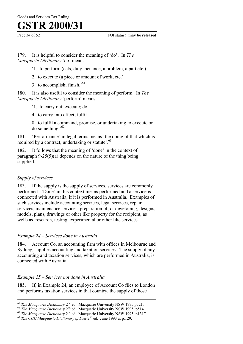179. It is helpful to consider the meaning of 'do'. In *The Macquarie Dictionary* 'do' means:

- '1. to perform (acts, duty, penance, a problem, a part etc.).
- 2. to execute (a piece or amount of work, etc.).
- 3. to accomplish: finish.<sup>'61</sup>

180. It is also useful to consider the meaning of perform. In *The Macquarie Dictionary* 'perform' means:

- '1. to carry out; execute; do
- 4. to carry into effect; fulfil.
- 8. to fulfil a command, promise, or undertaking to execute or do something.'<sup>62</sup>

181. 'Performance' in legal terms means 'the doing of that which is required by a contract, undertaking or statute'.<sup>63</sup>

182. It follows that the meaning of 'done' in the context of paragraph 9-25(5)(a) depends on the nature of the thing being supplied.

#### *Supply of services*

 $\overline{a}$ 

183. If the supply is the supply of services, services are commonly performed. 'Done' in this context means performed and a service is connected with Australia, if it is performed in Australia. Examples of such services include accounting services, legal services, repair services, maintenance services, preparation of, or developing, designs, models, plans, drawings or other like property for the recipient, as wells as, research, testing, experimental or other like services.

#### *Example 24* – *Services done in Australia*

184. Account Co, an accounting firm with offices in Melbourne and Sydney, supplies accounting and taxation services. The supply of any accounting and taxation services, which are performed in Australia, is connected with Australia.

#### *Example 25* – *Services not done in Australia*

185. If, in Example 24, an employee of Account Co flies to London and performs taxation services in that country, the supply of those

<sup>&</sup>lt;sup>60</sup> The Macquarie Dictionary 2<sup>nd</sup> ed. Macquarie University NSW 1995 p521.<br><sup>61</sup> The Macquarie Dictionary 2<sup>nd</sup> ed. Macquarie University NSW 1995, p514.<br><sup>62</sup> The Macquarie Dictionary 2<sup>nd</sup> ed. Macquarie University NSW 199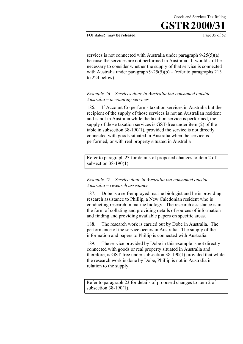FOI status: **may be released** Page 35 of 52

services is not connected with Australia under paragraph 9-25(5)(a) because the services are not performed in Australia. It would still be necessary to consider whether the supply of that service is connected with Australia under paragraph  $9-25(5)(b) -$  (refer to paragraphs 213) to 224 below).

#### *Example 26* – *Services done in Australia but consumed outside Australia – accounting services*

186. If Account Co performs taxation services in Australia but the recipient of the supply of those services is not an Australian resident and is not in Australia while the taxation service is performed, the supply of those taxation services is GST-free under item (2) of the table in subsection 38-190(1), provided the service is not directly connected with goods situated in Australia when the service is performed, or with real property situated in Australia

Refer to paragraph 23 for details of proposed changes to item 2 of subsection 38-190(1).

#### *Example 27 – Service done in Australia but consumed outside Australia – research assistance*

187. Dobe is a self-employed marine biologist and he is providing research assistance to Phillip, a New Caledonian resident who is conducting research in marine biology. The research assistance is in the form of collating and providing details of sources of information and finding and providing available papers on specific areas.

188. The research work is carried out by Dobe in Australia. The performance of the service occurs in Australia. The supply of the information and papers to Phillip is connected with Australia.

189. The service provided by Dobe in this example is not directly connected with goods or real property situated in Australia and therefore, is GST-free under subsection 38-190(1) provided that while the research work is done by Dobe, Phillip is not in Australia in relation to the supply.

Refer to paragraph 23 for details of proposed changes to item 2 of subsection 38-190(1).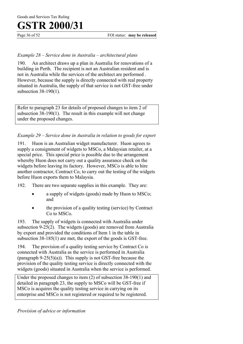#### *Example 28 – Service done in Australia – architectural plans*

190. An architect draws up a plan in Australia for renovations of a building in Perth. The recipient is not an Australian resident and is not in Australia while the services of the architect are performed . However, because the supply is directly connected with real property situated in Australia, the supply of that service is not GST-free under subsection 38-190(1).

Refer to paragraph 23 for details of proposed changes to item 2 of subsection 38-190(1). The result in this example will not change under the proposed changes.

#### *Example 29 – Service done in Australia in relation to goods for export*

191. Huon is an Australian widget manufacturer. Huon agrees to supply a consignment of widgets to MSCo, a Malaysian retailer, at a special price. This special price is possible due to the arrangement whereby Huon does not carry out a quality assurance check on the widgets before leaving its factory. However, MSCo is able to hire another contractor, Contract Co, to carry out the testing of the widgets before Huon exports them to Malaysia.

192. There are two separate supplies in this example. They are:

- a supply of widgets (goods) made by Huon to MSCo; and
- the provision of a quality testing (service) by Contract Co to MSCo.

193. The supply of widgets is connected with Australia under subsection 9-25(2). The widgets (goods) are removed from Australia by export and provided the conditions of Item 1 in the table in subsection 38-185(1) are met, the export of the goods is GST-free.

194. The provision of a quality testing service by Contract Co is connected with Australia as the service is performed in Australia (paragraph  $9-25(5)(a)$ ). This supply is not GST-free because the provision of the quality testing service is directly connected with the widgets (goods) situated in Australia when the service is performed.

Under the proposed changes to item (2) of subsection 38-190(1) and detailed in paragraph 23, the supply to MSCo will be GST-free if MSCo is acquires the quality testing service in carrying on its enterprise and MSCo is not registered or required to be registered.

*Provision of advice or information*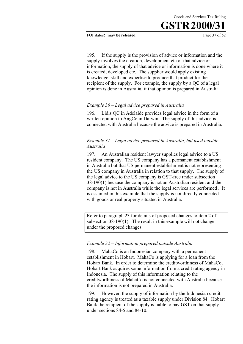FOI status: **may be released** Page 37 of 52

195. If the supply is the provision of advice or information and the supply involves the creation, development etc of that advice or information, the supply of that advice or information is done where it is created, developed etc. The supplier would apply existing knowledge, skill and expertise to produce that product for the recipient of the supply. For example, the supply by a QC of a legal opinion is done in Australia, if that opinion is prepared in Australia.

#### *Example 30 – Legal advice prepared in Australia*

196. Lidis QC in Adelaide provides legal advice in the form of a written opinion to AngCo in Darwin. The supply of this advice is connected with Australia because the advice is prepared in Australia.

#### *Example 31 – Legal advice prepared in Australia, but used outside Australia*

197. An Australian resident lawyer supplies legal advice to a US resident company. The US company has a permanent establishment in Australia but that US permanent establishment is not representing the US company in Australia in relation to that supply. The supply of the legal advice to the US company is GST-free under subsection 38-190(1) because the company is not an Australian resident and the company is not in Australia while the legal services are performed . It is assumed in this example that the supply is not directly connected with goods or real property situated in Australia.

Refer to paragraph 23 for details of proposed changes to item 2 of subsection 38-190(1). The result in this example will not change under the proposed changes.

#### *Example 32 – Information prepared outside Australia*

198. MahaCo is an Indonesian company with a permanent establishment in Hobart. MahaCo is applying for a loan from the Hobart Bank. In order to determine the creditworthiness of MahaCo, Hobart Bank acquires some information from a credit rating agency in Indonesia. The supply of this information relating to the creditworthiness of MahaCo is not connected with Australia because the information is not prepared in Australia.

199. However, the supply of information by the Indonesian credit rating agency is treated as a taxable supply under Division 84. Hobart Bank the recipient of the supply is liable to pay GST on that supply under sections 84-5 and 84-10.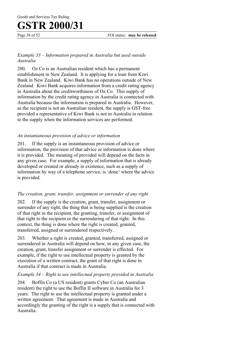Page 38 of 52 FOI status: **may be released** 

#### *Example 33 – Information prepared in Australia but used outside Australia*

200. Oz Co is an Australian resident which has a permanent establishment in New Zealand. It is applying for a loan from Kiwi Bank in New Zealand. Kiwi Bank has no operations outside of New Zealand. Kiwi Bank acquires information from a credit rating agency in Australia about the creditworthiness of Oz Co. This supply of information by the credit rating agency in Australia is connected with Australia because the information is prepared in Australia. However, as the recipient is not an Australian resident, the supply is GST-free provided a representative of Kiwi Bank is not in Australia in relation to the supply when the information services are performed.

#### *An instantaneous provision of advice or information*

201. If the supply is an instantaneous provision of advice or information*,* the provision of that advice or information is done where it is provided. The meaning of provided will depend on the facts in any given case. For example, a supply of information that is already developed or created or already in existence, such as a supply of information by way of a telephone service, is 'done' where the advice is provided.

#### *The creation, grant, transfer, assignment or surrender of any right*

202. If the supply is the creation, grant, transfer, assignment or surrender of any right, the thing that is being supplied is the creation of that right in the recipient, the granting, transfer, or assignment of that right to the recipient or the surrendering of that right. In this context, the thing is done where the right is created, granted, transferred, assigned or surrendered respectively.

203. Whether a right is created, granted, transferred, assigned or surrendered in Australia will depend on how, in any given case, the creation, grant, transfer assignment or surrender is effected. For example, if the right to use intellectual property is granted by the execution of a written contract, the grant of that right is done in Australia if that contract is made in Australia.

#### *Example 34 – Right to use intellectual property provided in Australia*

204. Boffin Co (a US resident) grants Cyber Co (an Australian resident) the right to use the Boffin II software in Australia for 3 years. The right to use the intellectual property is granted under a written agreement. That agreement is made in Australia and accordingly the granting of the right is a supply that is connected with Australia.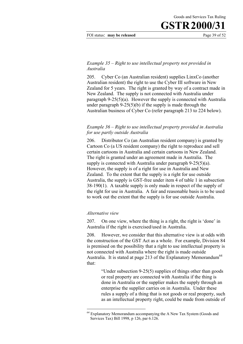FOI status: **may be released** Page 39 of 52

#### *Example 35 – Right to use intellectual property not provided in Australia*

205. Cyber Co (an Australian resident) supplies LinxCo (another Australian resident) the right to use the Cyber III software in New Zealand for 5 years. The right is granted by way of a contract made in New Zealand. The supply is not connected with Australia under paragraph 9-25(5)(a). However the supply is connected with Australia under paragraph 9-25(5)(b) if the supply is made through the Australian business of Cyber Co (refer paragraph 213 to 224 below).

#### *Example 36 – Right to use intellectual property provided in Australia for use partly outside Australia*

206. Distributor Co (an Australian resident company) is granted by Cartoon Co (a US resident company) the right to reproduce and sell certain cartoons in Australia and certain cartoons in New Zealand. The right is granted under an agreement made in Australia. The supply is connected with Australia under paragraph 9-25(5)(a). However, the supply is of a right for use in Australia and New Zealand. To the extent that the supply is a right for use outside Australia, the supply is GST-free under item 4 of table 1 in subsection 38-190(1). A taxable supply is only made in respect of the supply of the right for use in Australia. A fair and reasonable basis is to be used to work out the extent that the supply is for use outside Australia.

#### *Alternative view*

 $\overline{a}$ 

207. On one view, where the thing is a right, the right is 'done' in Australia if the right is exercised/used in Australia.

208. However, we consider that this alternative view is at odds with the construction of the GST Act as a whole. For example, Division 84 is premised on the possibility that a right to use intellectual property is not connected with Australia where the right is made outside Australia. It is stated at page 213 of the Explanatory Memorandum<sup>64</sup> that:

> "Under subsection 9-25(5) supplies of things other than goods or real property are connected with Australia if the thing is done in Australia or the supplier makes the supply through an enterprise the supplier carries on in Australia. Under these rules a supply of a thing that is not goods or real property, such as an intellectual property right, could be made from outside of

<sup>&</sup>lt;sup>64</sup> Explanatory Memorandum accompanying the A New Tax System (Goods and Services Tax) Bill 1998, p 126, par 6.126.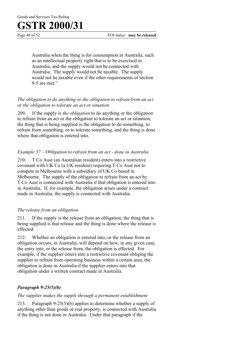Page 40 of 52 FOI status: **may be released** 

Australia when the thing is for consumption in Australia, such as an intellectual property right that is to be exercised in Australia, and the supply would not be connected with Australia. The supply would not be taxable. The supply would not be taxable even if the other requirements of section 9-5 are met."

#### *The obligation to do anything or the obligation to refrain from an act or the obligation to tolerate an act or situation*

209. If the supply is *the obligation* to do anything or the obligation to refrain from an act or the obligation to tolerate an act or situation, the thing that is being supplied is the obligation to do something, to refrain from something, or to tolerate something, and the thing is done where that obligation is entered into.

#### *Example 37 – Obligation to refrain from an act - done in Australia*

210. T Co Aust (an Australian resident) enters into a restrictive covenant with UK Co (a UK resident) requiring T Co Aust not to compete in Melbourne with a subsidiary of UK Co based in Melbourne. The supply of the obligation to refrain from an act by T Co Aust is connected with Australia if that obligation is entered into in Australia. If, for example, the obligation arises under a contract made in Australia, the supply is connected with Australia.

#### *The release from an obligation*

211. If the supply is the release from an obligation*,* the thing that is being supplied is that release and the thing is done where the release is effected.

212. Whether an obligation is entered into, or the release from an obligation occurs, in Australia, will depend on how, in any given case, the entry into, or the release from, the obligation is effected. For example, if the supplier enters into a restrictive covenant obliging the supplier to refrain from operating business within a certain area, the obligation is done in Australia if the supplier enters into that obligation under a written contract made in Australia.

#### *Paragraph 9-25(5)(b)*

#### *The supplier makes the supply through a permanent establishment*

213. Paragraph 9-25(5)(b) applies to determine whether a supply of anything other than goods or real property, is connected with Australia if the thing is not done in Australia. Under that paragraph if the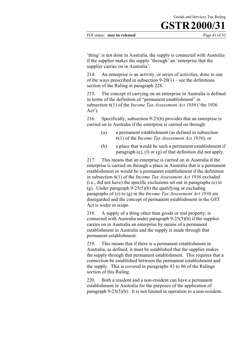FOI status: **may be released** Page 41 of 52

'thing' is not done in Australia, the supply is connected with Australia if the supplier makes the supply 'through' an 'enterprise that the supplier carries on in Australia'.

214. An enterprise is an activity, or series of activities, done in one of the ways prescribed in subsection  $9-20(1)$  – see the definitions section of the Ruling at paragraph 228.

215. The concept of carrying on an enterprise in Australia is defined in terms of the definition of "permanent establishment" in subsection 6(1) of the *Income Tax Assessment Act 1936* ('the 1936 Act').

216. Specifically, subsection 9-25(6) provides that an enterprise is carried on in Australia if the enterprise is carried on through:

- (a) a permanent establishment (as defined in subsection 6(1) of the *Income Tax Assessment Act 1936*); or
- (b) a place that would be such a permanent establishment if paragraph (e), (f) or (g) of that definition did not apply.

217. This means that an enterprise is carried on in Australia if the enterprise is carried on through a place in Australia that is a permanent establishment or would be a permanent establishment if the definition in subsection 6(1) of the *Income Tax Assessment Act 1936* excluded (i.e., did not have) the specific exclusions set out in paragraphs (e) to (g). Under paragraph  $9-25(5)(b)$  the qualifying or excluding paragraphs of (e) to (g) in the *Income Tax Assessment Act 1936* are disregarded and the concept of permanent establishment in the GST Act is wider in scope.

218. A supply of a thing other than goods or real property, is connected with Australia under paragraph 9-25(5)(b) if the supplier carries on in Australia an enterprise by means of a permanent establishment in Australia and the supply is made through that permanent establishment.

219. This means that if there is a permanent establishment in Australia, as defined, it must be established that the supplier makes the supply through that permanent establishment. This requires that a connection be established between the permanent establishment and the supply. This is covered in paragraphs 83 to 86 of the Rulings section of this Ruling.

220. Both a resident and a non-resident can have a permanent establishment in Australia for the purposes of the application of paragraph 9-25(5)(b). It is not limited in operation to a non-resident.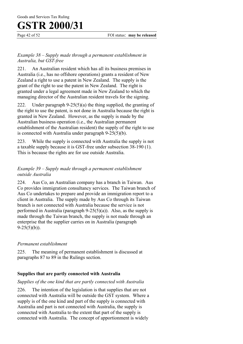#### *Example 38 – Supply made through a permanent establishment in Australia, but GST-free*

221. An Australian resident which has all its business premises in Australia (i.e., has no offshore operations) grants a resident of New Zealand a right to use a patent in New Zealand. The supply is the grant of the right to use the patent in New Zealand. The right is granted under a legal agreement made in New Zealand to which the managing director of the Australian resident travels for the signing.

222. Under paragraph  $9-25(5)(a)$  the thing supplied, the granting of the right to use the patent, is not done in Australia because the right is granted in New Zealand. However, as the supply is made by the Australian business operation (i.e., the Australian permanent establishment of the Australian resident) the supply of the right to use is connected with Australia under paragraph 9-25(5)(b).

223. While the supply is connected with Australia the supply is not a taxable supply because it is GST-free under subsection 38-190 (1). This is because the rights are for use outside Australia.

#### *Example 39 – Supply made through a permanent establishment outside Australia*

224. Aus Co, an Australian company has a branch in Taiwan. Aus Co provides immigration consultancy services. The Taiwan branch of Aus Co undertakes to prepare and provide an immigration report to a client in Australia. The supply made by Aus Co through its Taiwan branch is not connected with Australia because the service is not performed in Australia (paragraph  $9-25(5)(a)$ ). Also, as the supply is made through the Taiwan branch, the supply is not made through an enterprise that the supplier carries on in Australia (paragraph  $9-25(5)(b)$ ).

#### *Permanent establishment*

225. The meaning of permanent establishment is discussed at paragraphs 87 to 89 in the Rulings section.

#### **Supplies that are partly connected with Australia**

#### *Supplies of the one kind that are partly connected with Australia*

226. The intention of the legislation is that supplies that are not connected with Australia will be outside the GST system. Where a supply is of the one kind and part of the supply is connected with Australia and part is not connected with Australia, the supply is connected with Australia to the extent that part of the supply is connected with Australia. The concept of apportionment is widely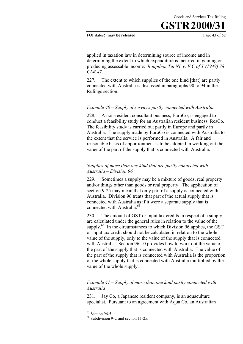#### FOI status: **may be released** Page 43 of 52

applied in taxation law in determining source of income and in determining the extent to which expenditure is incurred in gaining or producing assessable income: *Ronpibon Tin NL v. F C of T (1949) 78 CLR 47.*

227. The extent to which supplies of the one kind [that] are partly connected with Australia is discussed in paragraphs 90 to 94 in the Rulings section.

#### *Example 40* – *Supply of services partly connected with Australia*

228. A non-resident consultant business, EuroCo, is engaged to conduct a feasibility study for an Australian resident business, ResCo. The feasibility study is carried out partly in Europe and partly in Australia. The supply made by EuroCo is connected with Australia to the extent that the service is performed in Australia. A fair and reasonable basis of apportionment is to be adopted in working out the value of the part of the supply that is connected with Australia.

#### *Supplies of more than one kind that are partly connected with Australia – Division 96*

229. Sometimes a supply may be a mixture of goods, real property and/or things other than goods or real property. The application of section 9-25 may mean that only part of a supply is connected with Australia. Division 96 treats that part of the actual supply that is connected with Australia as if it were a separate supply that is connected with Australia.<sup>65</sup>

230. The amount of GST or input tax credits in respect of a supply are calculated under the general rules in relation to the value of the supply.<sup>66</sup> In the circumstances to which Division 96 applies, the GST or input tax credit should not be calculated in relation to the whole value of the supply, only to the value of the supply that is connected with Australia. Section 96-10 provides how to work out the value of the part of the supply that is connected with Australia. The value of the part of the supply that is connected with Australia is the proportion of the whole supply that is connected with Australia multiplied by the value of the whole supply.

#### *Example 41 – Supply of more than one kind partly connected with Australia*

231. Jay Co, a Japanese resident company, is an aquaculture specialist. Pursuant to an agreement with Aqua Co, an Australian

 $65$  Section 96-5.

<sup>66</sup> Subdivision 9-C and section 11-25.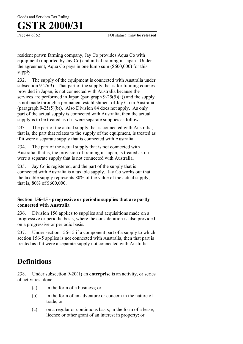Goods and Services Tax Ruling

### **GSTR 2000/31**

Page 44 of 52 FOI status: **may be released** 

resident prawn farming company, Jay Co provides Aqua Co with equipment (imported by Jay Co) and initial training in Japan. Under the agreement, Aqua Co pays in one lump sum (\$600,000) for this supply.

232. The supply of the equipment is connected with Australia under subsection 9-25(3). That part of the supply that is for training courses provided in Japan, is not connected with Australia because the services are performed in Japan (paragraph  $9-25(5)(a)$ ) and the supply is not made through a permanent establishment of Jay Co in Australia (paragraph 9-25(5)(b)). Also Division 84 does not apply. As only part of the actual supply is connected with Australia, then the actual supply is to be treated as if it were separate supplies as follows.

233. The part of the actual supply that is connected with Australia, that is, the part that relates to the supply of the equipment, is treated as if it were a separate supply that is connected with Australia.

234. The part of the actual supply that is not connected with Australia, that is, the provision of training in Japan, is treated as if it were a separate supply that is not connected with Australia.

235. Jay Co is registered, and the part of the supply that is connected with Australia is a taxable supply. Jay Co works out that the taxable supply represents 80% of the value of the actual supply, that is, 80% of \$600,000.

#### **Section 156-15 - progressive or periodic supplies that are partly connected with Australia**

236. Division 156 applies to supplies and acquisitions made on a progressive or periodic basis, where the consideration is also provided on a progressive or periodic basis.

237. Under section 156-15 if a component part of a supply to which section 156-5 applies is not connected with Australia, then that part is treated as if it were a separate supply not connected with Australia.

### **Definitions**

238. Under subsection 9-20(1) an **enterprise** is an activity, or series of activities, done:

- (a) in the form of a business; or
- (b) in the form of an adventure or concern in the nature of trade; or
- (c) on a regular or continuous basis, in the form of a lease, licence or other grant of an interest in property; or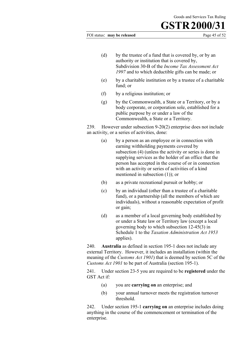#### FOI status: **may be released** Page 45 of 52

- (d) by the trustee of a fund that is covered by, or by an authority or institution that is covered by, Subdivision 30-B of the *Income Tax Assessment Act 1997* and to which deductible gifts can be made; or
- (e) by a charitable institution or by a trustee of a charitable fund; or
- (f) by a religious institution; or
- (g) by the Commonwealth, a State or a Territory, or by a body corporate, or corporation sole, established for a public purpose by or under a law of the Commonwealth, a State or a Territory.

239. However under subsection 9-20(2) enterprise does not include an activity, or a series of activities, done:

- (a) by a person as an employee or in connection with earning withholding payments covered by subsection (4) (unless the activity or series is done in supplying services as the holder of an office that the person has accepted in the course of or in connection with an activity or series of activities of a kind mentioned in subsection (1)); or
- (b) as a private recreational pursuit or hobby; or
- (c) by an individual (other than a trustee of a charitable fund), or a partnership (all the members of which are individuals), without a reasonable expectation of profit or gain;
- (d) as a member of a local governing body established by or under a State law or Territory law (except a local governing body to which subsection 12-45(3) in Schedule 1 to the *Taxation Administration Act 1953* applies).

240. **Australia** as defined in section 195-1 does not include any external Territory. However, it includes an installation (within the meaning of the *Customs Act 1901*) that is deemed by section 5C of the *Customs Act 1901* to be part of Australia (section 195-1).

241. Under section 23-5 you are required to be **registered** under the GST Act if:

- (a) you are **carrying on** an enterprise; and
- (b) your annual turnover meets the registration turnover threshold.

242. Under section 195-1 **carrying on** an enterprise includes doing anything in the course of the commencement or termination of the enterprise.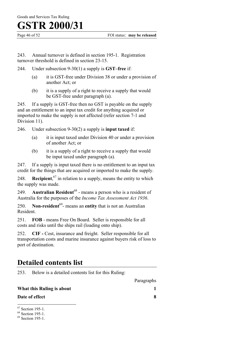243. Annual turnover is defined in section 195-1. Registration turnover threshold is defined in section 23-15.

- 244. Under subsection 9-30(1) a supply is **GST–free** if:
	- (a) it is GST-free under Division 38 or under a provision of another Act; or
	- (b) it is a supply of a right to receive a supply that would be GST-free under paragraph (a).

245. If a supply is GST-free then no GST is payable on the supply and an entitlement to an input tax credit for anything acquired or imported to make the supply is not affected (refer section 7-1 and Division 11).

246. Under subsection 9-30(2) a supply is **input taxed** if:

- (a) it is input taxed under Division 40 or under a provision of another Act; or
- (b) it is a supply of a right to receive a supply that would be input taxed under paragraph (a).

247. If a supply is input taxed there is no entitlement to an input tax credit for the things that are acquired or imported to make the supply.

248. **Recipient**, 67 in relation to a supply, means the entity to which the supply was made.

249. **Australian Resident**<sup>68</sup> - means a person who is a resident of Australia for the purposes of the *Income Tax Assessment Act 1936*.

250. **Non-resident**69- means an **entity** that is not an Australian Resident.

251. **FOB** - means Free On Board. Seller is responsible for all costs and risks until the ships rail (loading onto ship).

252. **CIF -** Cost, insurance and freight. Seller responsible for all transportation costs and marine insurance against buyers risk of loss to port of destination.

### **Detailed contents list**

253. Below is a detailed contents list for this Ruling:

Paragraphs

| What this Ruling is about |  |
|---------------------------|--|
| Date of effect            |  |

<sup>67</sup> Section 195-1.

<sup>68</sup> Section 195-1.

<sup>69</sup> Section 195-1.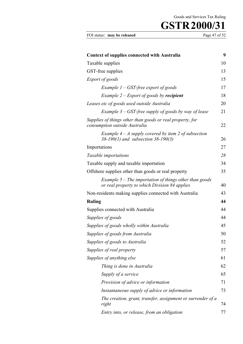FOI status: **may be released** Page 47 of 52

| <b>Context of supplies connected with Australia</b>                                                       | 9  |
|-----------------------------------------------------------------------------------------------------------|----|
| Taxable supplies                                                                                          | 10 |
| GST-free supplies                                                                                         | 13 |
| Export of goods                                                                                           | 15 |
| Example $1 - GST$ -free export of goods                                                                   | 17 |
| Example $2$ – Export of goods by recipient                                                                | 18 |
| Leases etc of goods used outside Australia                                                                | 20 |
| Example $3 - GST$ -free supply of goods by way of lease                                                   | 21 |
| Supplies of things other than goods or real property, for<br>consumption outside Australia                | 22 |
| Example $4 - A$ supply covered by item 2 of subsection<br>$38-190(1)$ and subsection $38-190(3)$          | 26 |
| Importations                                                                                              | 27 |
| Taxable importations                                                                                      | 28 |
| Taxable supply and taxable importation                                                                    | 34 |
| Offshore supplies other than goods or real property                                                       | 35 |
| Example $5$ – The importation of things other than goods<br>or real property to which Division 84 applies | 40 |
| Non-residents making supplies connected with Australia                                                    | 43 |
| <b>Ruling</b>                                                                                             | 44 |
| Supplies connected with Australia                                                                         | 44 |
| Supplies of goods                                                                                         | 44 |
| Supplies of goods wholly within Australia                                                                 | 45 |
| Supplies of goods from Australia                                                                          | 50 |
| Supplies of goods to Australia                                                                            | 52 |
| Supplies of real property                                                                                 | 57 |
| Supplies of anything else                                                                                 | 61 |
| Thing is done in Australia                                                                                | 62 |
| Supply of a service                                                                                       | 65 |
| Provision of advice or information                                                                        | 71 |
| Instantaneous supply of advice or information                                                             | 73 |
| The creation, grant, transfer, assignment or surrender of a<br>right                                      | 74 |
| Entry into, or release, from an obligation                                                                | 77 |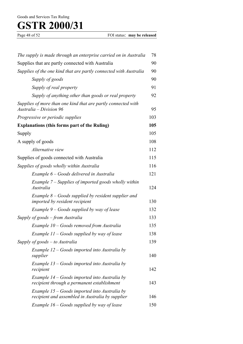Page 48 of 52 FOI status: **may be released** 

| The supply is made through an enterprise carried on in Australia                                    | 78  |
|-----------------------------------------------------------------------------------------------------|-----|
| Supplies that are partly connected with Australia                                                   | 90  |
| Supplies of the one kind that are partly connected with Australia                                   | 90  |
| Supply of goods                                                                                     | 90  |
| Supply of real property                                                                             | 91  |
| Supply of anything other than goods or real property                                                | 92  |
| Supplies of more than one kind that are partly connected with<br>Australia – Division 96            | 95  |
| Progressive or periodic supplies                                                                    | 103 |
| <b>Explanations (this forms part of the Ruling)</b>                                                 | 105 |
| Supply                                                                                              | 105 |
| A supply of goods                                                                                   | 108 |
| Alternative view                                                                                    | 112 |
| Supplies of goods connected with Australia                                                          | 115 |
| Supplies of goods wholly within Australia                                                           | 116 |
| Example 6 – Goods delivered in Australia                                                            | 121 |
| Example $7$ – Supplies of imported goods wholly within<br>Australia                                 | 124 |
| Example $8 - Goods$ supplied by resident supplier and<br><i>imported by resident recipient</i>      | 130 |
| Example $9 - Goods$ supplied by way of lease                                                        | 132 |
| Supply of goods – from Australia                                                                    | 133 |
| Example 10 – Goods removed from Australia                                                           | 135 |
| Example 11 – Goods supplied by way of lease                                                         | 138 |
| Supply of goods $-$ to Australia                                                                    | 139 |
| Example $12 - Goods$ imported into Australia by<br>supplier                                         | 140 |
| Example 13 – Goods imported into Australia by<br>recipient                                          | 142 |
| Example $14$ – Goods imported into Australia by<br>recipient through a permanent establishment      | 143 |
| Example $15 - Goods$ imported into Australia by<br>recipient and assembled in Australia by supplier | 146 |
| Example $16 - Goods$ supplied by way of lease                                                       | 150 |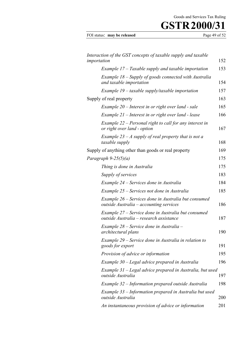| FOI status: may be released | Page 49 of 5 |
|-----------------------------|--------------|
|                             |              |

| Interaction of the GST concepts of taxable supply and taxable<br>importation                    | 152 |
|-------------------------------------------------------------------------------------------------|-----|
| Example $17$ – Taxable supply and taxable importation                                           | 153 |
| Example 18 – Supply of goods connected with Australia<br>and taxable importation                | 154 |
| Example $19$ – taxable supply/taxable importation                                               | 157 |
| Supply of real property                                                                         | 163 |
| Example 20 – Interest in or right over land - sale                                              | 165 |
| Example 21 – Interest in or right over land - lease                                             | 166 |
| Example $22$ – Personal right to call for any interest in<br>or right over land - option        | 167 |
| Example 23 – A supply of real property that is not a<br>taxable supply                          | 168 |
| Supply of anything other than goods or real property                                            | 169 |
| Paragraph 9-25(5)(a)                                                                            | 175 |
| Thing is done in Australia                                                                      | 175 |
| Supply of services                                                                              | 183 |
| Example 24 – Services done in Australia                                                         | 184 |
| Example 25 – Services not done in Australia                                                     | 185 |
| Example 26 – Services done in Australia but consumed<br>outside Australia - accounting services | 186 |
| Example 27 – Service done in Australia but consumed<br>outside Australia – research assistance  | 187 |
| Example 28 – Service done in Australia –<br>architectural plans                                 | 190 |
| Example 29 – Service done in Australia in relation to<br>goods for export                       | 191 |
| Provision of advice or information                                                              | 195 |
| Example 30 – Legal advice prepared in Australia                                                 | 196 |
| Example 31 – Legal advice prepared in Australia, but used<br>outside Australia                  | 197 |
| Example 32 – Information prepared outside Australia                                             | 198 |
| Example 33 – Information prepared in Australia but used<br>outside Australia                    | 200 |
| An instantaneous provision of advice or information                                             | 201 |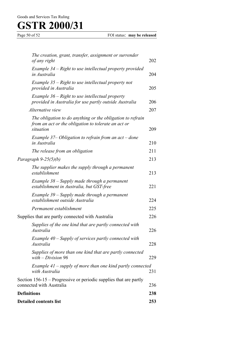| The creation, grant, transfer, assignment or surrender<br>of any right                                                         | 202 |
|--------------------------------------------------------------------------------------------------------------------------------|-----|
| Example 34 – Right to use intellectual property provided<br>in Australia                                                       | 204 |
| Example $35$ – Right to use intellectual property not<br>provided in Australia                                                 | 205 |
| Example $36$ – Right to use intellectual property<br>provided in Australia for use partly outside Australia                    | 206 |
| Alternative view                                                                                                               | 207 |
| The obligation to do anything or the obligation to refrain<br>from an act or the obligation to tolerate an act or<br>situation | 209 |
| Example 37– Obligation to refrain from an $act$ – done<br>in Australia                                                         | 210 |
| The release from an obligation                                                                                                 | 211 |
| Paragraph 9-25(5)(b)                                                                                                           | 213 |
| The supplier makes the supply through a permanent<br>establishment                                                             | 213 |
| Example 38 – Supply made through a permanent<br>establishment in Australia, but GST-free                                       | 221 |
| Example 39 – Supply made through a permanent<br>establishment outside Australia                                                | 224 |
| Permanent establishment                                                                                                        | 225 |
| Supplies that are partly connected with Australia                                                                              | 226 |
| Supplies of the one kind that are partly connected with<br>Australia                                                           | 226 |
| Example $40$ – Supply of services partly connected with<br>Australia                                                           | 228 |
| Supplies of more than one kind that are partly connected<br>with $-Division 96$                                                | 229 |
| Example $41$ – supply of more than one kind partly connected<br>with Australia                                                 | 231 |
| Section 156-15 – Progressive or periodic supplies that are partly<br>connected with Australia                                  | 236 |
| <b>Definitions</b>                                                                                                             | 238 |
| <b>Detailed contents list</b>                                                                                                  | 253 |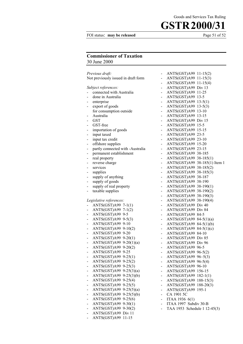#### FOI status: **may be released** Page 51 of 52

Goods and Services Tax Ruling

#### **Commissioner of Taxation** 30 June 2000

| Previous draft:<br>Not previously issued in draft form |  |
|--------------------------------------------------------|--|
|                                                        |  |
| Subject references:                                    |  |
| connected with Australia                               |  |
| done in Australia                                      |  |
| enterprise                                             |  |
| export of goods<br>-                                   |  |
| for consumption outside                                |  |
| Australia                                              |  |
| <b>GST</b><br>-                                        |  |
| GST-free<br>$\blacksquare$                             |  |
| importation of goods<br>$\blacksquare$                 |  |
| input taxed<br>$\blacksquare$                          |  |
| input tax credit<br>Ξ.                                 |  |
| offshore supplies                                      |  |
| partly connected with -Australia                       |  |
| permanent establishment                                |  |
| real property                                          |  |
| reverse charge                                         |  |
| services                                               |  |
| supplies                                               |  |
| supply of anything<br>Ξ.                               |  |
| supply of goods<br>$\blacksquare$                      |  |
| supply of real property<br>$\blacksquare$              |  |
| taxable supplies<br>$\overline{\phantom{0}}$           |  |
|                                                        |  |
| Legislative references:                                |  |
| ANTS(GST)A99 7-1(1)                                    |  |
| ANTS(GST)A99 7-1(2)<br>ANTS(GST)A99 9-5                |  |
| ANTS(GST)A99 9-5(3)                                    |  |
| ANTS(GST)A99 9-10                                      |  |
| -<br>ANTS(GST)A99 9-10(2)                              |  |
| -<br>ANTS(GST)A99 9-20                                 |  |
| ANTS(GST)A99 9-20(1)<br>$\sim$                         |  |
| ANTS(GST)A99 9-20(1)(a)                                |  |
| ANTS(GST)A99<br>$9 - 20(2)$                            |  |
| ANTS(GST)A99<br>$9 - 25$                               |  |
| -<br>ANTS(GST)A99<br>$9 - 25(1)$                       |  |
| ANTS(GST)A99<br>$9 - 25(2)$                            |  |
| ANTS(GST)A99<br>$9 - 25(3)$                            |  |
| ANTS(GST)A99<br>$9-25(3)(a)$                           |  |
| $9-25(3)(b)$<br>ANTS(GST)A99                           |  |
| $9 - 25(4)$<br>ANTS(GST)A99<br>-                       |  |
| ANTS(GST)A99<br>$9 - 25(5)$                            |  |
| ANTS(GST)A99<br>$9-25(5)(a)$                           |  |
| ANTS(GST)A99<br>$9-25(5)(b)$                           |  |
| $9-25(6)$<br>ANTS(GST)A99                              |  |
| ANTS(GST)A99<br>$9 - 30(1)$                            |  |
| $9 - 30(2)$<br>ANTS(GST)A99<br>-                       |  |
| ANTS(GST)A99<br>Div 11                                 |  |
|                                                        |  |
| $11 - 15$<br>ANTS(GST)A99                              |  |

|                          | ANTS(GST)A99                 | $11-15(2)$        |
|--------------------------|------------------------------|-------------------|
| -                        | ANTS(GST)A99                 | $11-15(3)$        |
|                          | ANTS(GST)A99                 | $11-15(4)$        |
| -                        | ANTS(GST)A99                 | Div 13            |
| -                        | ANTS(GST)A99                 | 11-25             |
|                          | ANTS(GST)A99                 | $13 - 5$          |
| -                        | ANTS(GST)A99                 | $13-5(1)$         |
| -                        | ANTS(GST)A99                 | $13-5(3)$         |
|                          | ANTS(GST)A99                 | $13 - 10$         |
| -                        | ANTS(GST)A99                 | $13 - 15$         |
| -                        | ANTS(GST)A99                 | Div 15            |
| -                        | ANTS(GST)A99                 | $15-5$            |
| -                        | ANTS(GST)A99                 | $15 - 15$         |
| -                        | ANTS(GST)A99                 | 23-5              |
| -                        | ANTS(GST)A99                 | $23-10$           |
| -                        | ANTS(GST)A99                 | $15 - 20$         |
| -                        | ANTS(GST)A99                 | 23-15             |
| -                        | ANTS(GST)A99                 | 38-185            |
| -                        | ANTS(GST)A99                 | $38-185(1)$       |
| -                        | ANTS(GST)A99                 | 38-185(1) Item 1  |
| -                        | ANTS(GST)A99                 | $38-185(2)$       |
| -                        | ANTS(GST)A99                 | $38-185(3)$       |
| -                        | ANTS(GST)A99                 | 38-187            |
| -                        | ANTS(GST)A99                 | 38-190            |
| -                        | ANTS(GST)A99                 | $38-190(1)$       |
| -                        | ANTS(GST)A99                 | $38-190(2)$       |
| -                        | ANTS(GST)A99                 | $38-190(3)$       |
| -                        | ANTS(GST)A99                 | $38 - 190(4)$     |
| -                        | ANTS(GST)A99                 | Div 40            |
| -                        | ANTS(GST)A99                 | Div <sub>84</sub> |
| -                        | ANTS(GST)A99                 | 84-5              |
|                          | ANTS(GST)A99                 | $84-5(1)(a)$      |
|                          | ANTS(GST)A99                 | $84-5(1)(b)$      |
| -                        | ANTS(GST)A99                 | $84-5(1)(c)$      |
| -                        | ANTS(GST)A99                 | 84-10             |
| -                        | ANTS(GST)A99                 | Div <sub>85</sub> |
| -                        | ANTS(GST)A99                 | Div <sub>96</sub> |
| -                        | ANTS(GST)A99                 | 96-5              |
| -                        | ANTS(GST)A99                 | $96 - 5(2)$       |
|                          | ANTS(GST)A99                 | $96 - 5(3)$       |
|                          | ANTS(GST)A99                 | $96 - 5(4)$       |
| -                        | ANTS(GST)A99                 | $96 - 10$         |
| -                        | ANTS(GST)A99                 | 156-15            |
| -                        | ANTS(GST)A99                 | $182 - 1(1)$      |
| -                        | ANTS(GST)A99 188-15(3)       |                   |
| $\overline{\phantom{a}}$ | ANTS(GST)A99 188-20(3)       |                   |
|                          | ANTS(GST)A99                 | $195 - 1$         |
| -                        | CA 1901 5C                   |                   |
| -                        | ITAA 1936 6(1)               |                   |
| -                        | ITAA 1997 Subdiv 30-B        |                   |
| -                        | TAA 1953 Schedule 1 12-45(3) |                   |